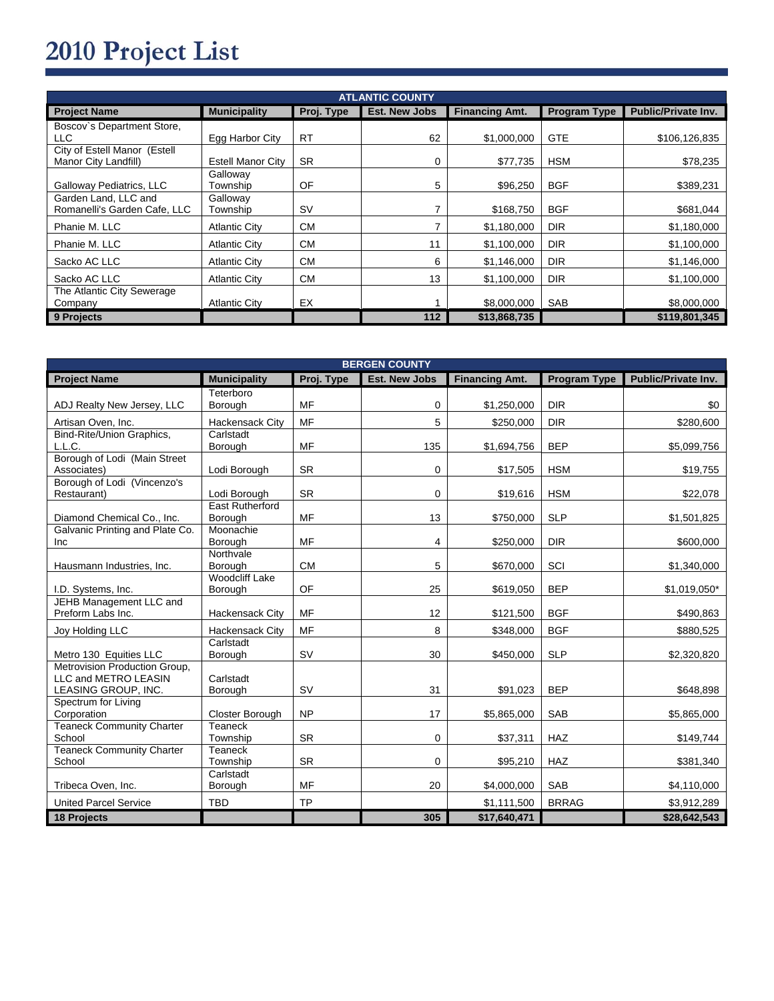## 2010 Project List

| <b>ATLANTIC COUNTY</b>                               |                          |            |                      |                       |                     |                            |  |  |
|------------------------------------------------------|--------------------------|------------|----------------------|-----------------------|---------------------|----------------------------|--|--|
| <b>Project Name</b>                                  | <b>Municipality</b>      | Proj. Type | <b>Est. New Jobs</b> | <b>Financing Amt.</b> | <b>Program Type</b> | <b>Public/Private Inv.</b> |  |  |
| Boscov's Department Store,<br>LLC                    | Egg Harbor City          | <b>RT</b>  | 62                   | \$1,000,000           | <b>GTE</b>          | \$106,126,835              |  |  |
| City of Estell Manor (Estell<br>Manor City Landfill) | <b>Estell Manor City</b> | <b>SR</b>  | 0                    | \$77,735              | <b>HSM</b>          | \$78,235                   |  |  |
| Galloway Pediatrics, LLC                             | Galloway<br>Township     | OF         | 5                    | \$96,250              | <b>BGF</b>          | \$389,231                  |  |  |
| Garden Land, LLC and<br>Romanelli's Garden Cafe, LLC | Galloway<br>Township     | <b>SV</b>  |                      | \$168,750             | <b>BGF</b>          | \$681,044                  |  |  |
| Phanie M. LLC                                        | <b>Atlantic City</b>     | <b>CM</b>  |                      | \$1,180,000           | <b>DIR</b>          | \$1,180,000                |  |  |
| Phanie M. LLC                                        | <b>Atlantic City</b>     | <b>CM</b>  | 11                   | \$1,100,000           | <b>DIR</b>          | \$1,100,000                |  |  |
| Sacko AC LLC                                         | <b>Atlantic City</b>     | <b>CM</b>  | 6                    | \$1,146,000           | <b>DIR</b>          | \$1,146,000                |  |  |
| Sacko AC LLC                                         | <b>Atlantic City</b>     | <b>CM</b>  | 13                   | \$1,100,000           | <b>DIR</b>          | \$1,100,000                |  |  |
| The Atlantic City Sewerage<br>Company                | <b>Atlantic City</b>     | EX         |                      | \$8,000,000           | <b>SAB</b>          | \$8,000,000                |  |  |
| 9 Projects                                           |                          |            | 112                  | \$13,868,735          |                     | \$119,801,345              |  |  |

| <b>BERGEN COUNTY</b>                                  |                        |            |                      |                       |              |                     |  |  |
|-------------------------------------------------------|------------------------|------------|----------------------|-----------------------|--------------|---------------------|--|--|
| <b>Project Name</b>                                   | <b>Municipality</b>    | Proj. Type | <b>Est. New Jobs</b> | <b>Financing Amt.</b> | Program Type | Public/Private Inv. |  |  |
|                                                       | Teterboro              |            |                      |                       |              |                     |  |  |
| ADJ Realty New Jersey, LLC                            | Borough                | <b>MF</b>  | 0                    | \$1,250,000           | <b>DIR</b>   | \$0                 |  |  |
| Artisan Oven, Inc.                                    | <b>Hackensack City</b> | <b>MF</b>  | 5                    | \$250,000             | <b>DIR</b>   | \$280,600           |  |  |
| Bind-Rite/Union Graphics,                             | Carlstadt              |            |                      |                       |              |                     |  |  |
| L.L.C.                                                | Borough                | <b>MF</b>  | 135                  | \$1,694,756           | <b>BEP</b>   | \$5,099,756         |  |  |
| Borough of Lodi (Main Street                          |                        |            |                      |                       |              |                     |  |  |
| Associates)<br>Borough of Lodi (Vincenzo's            | Lodi Borough           | <b>SR</b>  | 0                    | \$17,505              | <b>HSM</b>   | \$19,755            |  |  |
| Restaurant)                                           | Lodi Borough           | <b>SR</b>  | 0                    | \$19,616              | <b>HSM</b>   | \$22,078            |  |  |
|                                                       | <b>East Rutherford</b> |            |                      |                       |              |                     |  |  |
| Diamond Chemical Co., Inc.                            | Borough                | <b>MF</b>  | 13                   | \$750,000             | <b>SLP</b>   | \$1,501,825         |  |  |
| Galvanic Printing and Plate Co.                       | Moonachie              |            |                      |                       |              |                     |  |  |
| Inc                                                   | Borough                | MF         | 4                    | \$250,000             | <b>DIR</b>   | \$600,000           |  |  |
|                                                       | Northvale              |            |                      |                       |              |                     |  |  |
| Hausmann Industries, Inc.                             | Borough                | <b>CM</b>  | 5                    | \$670,000             | SCI          | \$1,340,000         |  |  |
|                                                       | <b>Woodcliff Lake</b>  |            |                      |                       |              |                     |  |  |
| I.D. Systems, Inc.                                    | Borough                | OF         | 25                   | \$619,050             | <b>BEP</b>   | $$1,019,050*$       |  |  |
| JEHB Management LLC and                               |                        |            |                      |                       |              |                     |  |  |
| Preform Labs Inc.                                     | <b>Hackensack City</b> | MF         | 12                   | \$121,500             | <b>BGF</b>   | \$490,863           |  |  |
| Joy Holding LLC                                       | <b>Hackensack City</b> | <b>MF</b>  | 8                    | \$348,000             | <b>BGF</b>   | \$880,525           |  |  |
|                                                       | Carlstadt              |            |                      |                       |              |                     |  |  |
| Metro 130 Equities LLC                                | Borough                | SV         | 30                   | \$450,000             | <b>SLP</b>   | \$2,320,820         |  |  |
| Metrovision Production Group,<br>LLC and METRO LEASIN | Carlstadt              |            |                      |                       |              |                     |  |  |
| LEASING GROUP, INC.                                   | Borough                | SV         | 31                   | \$91,023              | <b>BEP</b>   | \$648,898           |  |  |
| Spectrum for Living                                   |                        |            |                      |                       |              |                     |  |  |
| Corporation                                           | Closter Borough        | <b>NP</b>  | 17                   | \$5,865,000           | <b>SAB</b>   | \$5,865,000         |  |  |
| <b>Teaneck Community Charter</b>                      | Teaneck                |            |                      |                       |              |                     |  |  |
| School                                                | Township               | <b>SR</b>  | 0                    | \$37,311              | HAZ          | \$149,744           |  |  |
| <b>Teaneck Community Charter</b>                      | Teaneck                |            |                      |                       |              |                     |  |  |
| School                                                | Township               | <b>SR</b>  | 0                    | \$95,210              | HAZ          | \$381,340           |  |  |
|                                                       | Carlstadt              |            |                      |                       |              |                     |  |  |
| Tribeca Oven, Inc.                                    | Borough                | MF         | 20                   | \$4,000,000           | <b>SAB</b>   | \$4,110,000         |  |  |
| <b>United Parcel Service</b>                          | <b>TBD</b>             | <b>TP</b>  |                      | \$1,111,500           | <b>BRRAG</b> | \$3,912,289         |  |  |
| 18 Projects                                           |                        |            | 305                  | \$17,640,471          |              | \$28,642,543        |  |  |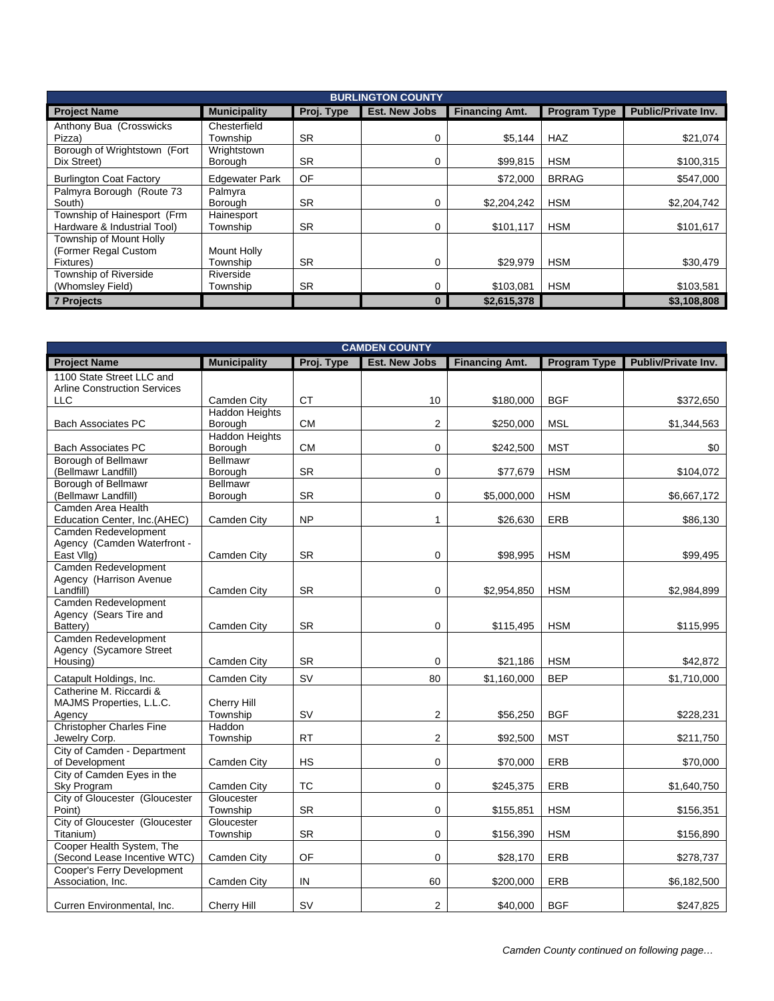| <b>BURLINGTON COUNTY</b>       |                       |            |                      |                       |                     |                            |  |
|--------------------------------|-----------------------|------------|----------------------|-----------------------|---------------------|----------------------------|--|
| <b>Project Name</b>            | <b>Municipality</b>   | Proj. Type | <b>Est. New Jobs</b> | <b>Financing Amt.</b> | <b>Program Type</b> | <b>Public/Private Inv.</b> |  |
| Anthony Bua (Crosswicks)       | Chesterfield          |            |                      |                       |                     |                            |  |
| Pizza)                         | Township              | <b>SR</b>  | 0                    | \$5,144               | <b>HAZ</b>          | \$21,074                   |  |
| Borough of Wrightstown (Fort   | Wrightstown           |            |                      |                       |                     |                            |  |
| Dix Street)                    | Borough               | <b>SR</b>  | 0                    | \$99.815              | <b>HSM</b>          | \$100,315                  |  |
| <b>Burlington Coat Factory</b> | <b>Edgewater Park</b> | OF         |                      | \$72,000              | <b>BRRAG</b>        | \$547,000                  |  |
| Palmyra Borough (Route 73      | Palmyra               |            |                      |                       |                     |                            |  |
| South)                         | Borough               | <b>SR</b>  | 0                    | \$2.204.242           | <b>HSM</b>          | \$2,204,742                |  |
| Township of Hainesport (Frm    | Hainesport            |            |                      |                       |                     |                            |  |
| Hardware & Industrial Tool)    | Township              | <b>SR</b>  | 0                    | \$101,117             | <b>HSM</b>          | \$101,617                  |  |
| Township of Mount Holly        |                       |            |                      |                       |                     |                            |  |
| (Former Regal Custom           | Mount Holly           |            |                      |                       |                     |                            |  |
| Fixtures)                      | Township              | <b>SR</b>  | 0                    | \$29,979              | <b>HSM</b>          | \$30,479                   |  |
| Township of Riverside          | Riverside             |            |                      |                       |                     |                            |  |
| (Whomsley Field)               | Township              | <b>SR</b>  | 0                    | \$103,081             | <b>HSM</b>          | \$103,581                  |  |
| <b>7 Projects</b>              |                       |            |                      | \$2,615,378           |                     | \$3,108,808                |  |

| <b>CAMDEN COUNTY</b>                        |                            |            |                      |                       |                     |                     |  |  |
|---------------------------------------------|----------------------------|------------|----------------------|-----------------------|---------------------|---------------------|--|--|
| <b>Project Name</b>                         | <b>Municipality</b>        | Proj. Type | <b>Est. New Jobs</b> | <b>Financing Amt.</b> | <b>Program Type</b> | Publiv/Private Inv. |  |  |
| 1100 State Street LLC and                   |                            |            |                      |                       |                     |                     |  |  |
| <b>Arline Construction Services</b>         |                            |            |                      |                       |                     |                     |  |  |
| <b>LLC</b>                                  | Camden City                | <b>CT</b>  | 10                   | \$180,000             | <b>BGF</b>          | \$372,650           |  |  |
|                                             | <b>Haddon Heights</b>      |            |                      |                       |                     |                     |  |  |
| <b>Bach Associates PC</b>                   | Borough                    | <b>CM</b>  | $\overline{2}$       | \$250,000             | <b>MSL</b>          | \$1,344,563         |  |  |
|                                             | <b>Haddon Heights</b>      |            |                      |                       |                     |                     |  |  |
| <b>Bach Associates PC</b>                   | Borough<br><b>Bellmawr</b> | <b>CM</b>  | 0                    | \$242,500             | <b>MST</b>          | \$0                 |  |  |
| Borough of Bellmawr<br>(Bellmawr Landfill)  | Borough                    | <b>SR</b>  | 0                    | \$77,679              | <b>HSM</b>          | \$104,072           |  |  |
| Borough of Bellmawr                         | <b>Bellmawr</b>            |            |                      |                       |                     |                     |  |  |
| (Bellmawr Landfill)                         | Borough                    | <b>SR</b>  | 0                    | \$5,000,000           | <b>HSM</b>          | \$6,667,172         |  |  |
| Camden Area Health                          |                            |            |                      |                       |                     |                     |  |  |
| Education Center, Inc.(AHEC)                | Camden City                | <b>NP</b>  | 1                    | \$26,630              | ERB                 | \$86,130            |  |  |
| Camden Redevelopment                        |                            |            |                      |                       |                     |                     |  |  |
| Agency (Camden Waterfront -                 |                            |            |                      |                       |                     |                     |  |  |
| East VIIg)                                  | Camden City                | <b>SR</b>  | 0                    | \$98,995              | <b>HSM</b>          | \$99,495            |  |  |
| Camden Redevelopment                        |                            |            |                      |                       |                     |                     |  |  |
| Agency (Harrison Avenue                     |                            |            |                      |                       |                     |                     |  |  |
| Landfill)                                   | Camden City                | <b>SR</b>  | 0                    | \$2,954,850           | <b>HSM</b>          | \$2,984,899         |  |  |
| Camden Redevelopment                        |                            |            |                      |                       |                     |                     |  |  |
| Agency (Sears Tire and                      |                            |            |                      |                       |                     |                     |  |  |
| Battery)                                    | Camden City                | <b>SR</b>  | 0                    | \$115,495             | <b>HSM</b>          | \$115,995           |  |  |
| Camden Redevelopment                        |                            |            |                      |                       |                     |                     |  |  |
| Agency (Sycamore Street                     |                            |            |                      |                       |                     |                     |  |  |
| Housing)                                    | Camden City                | <b>SR</b>  | 0                    | \$21,186              | <b>HSM</b>          | \$42,872            |  |  |
| Catapult Holdings, Inc.                     | Camden City                | SV         | 80                   | \$1,160,000           | <b>BEP</b>          | \$1,710,000         |  |  |
| Catherine M. Riccardi &                     |                            |            |                      |                       |                     |                     |  |  |
| MAJMS Properties, L.L.C.                    | Cherry Hill                |            |                      |                       |                     |                     |  |  |
| Agency                                      | Township                   | SV         | 2                    | \$56,250              | <b>BGF</b>          | \$228,231           |  |  |
| <b>Christopher Charles Fine</b>             | Haddon                     |            |                      |                       |                     |                     |  |  |
| Jewelry Corp.                               | Township                   | <b>RT</b>  | $\overline{2}$       | \$92,500              | <b>MST</b>          | \$211,750           |  |  |
| City of Camden - Department                 |                            |            |                      |                       |                     |                     |  |  |
| of Development                              | Camden City                | <b>HS</b>  | $\Omega$             | \$70,000              | <b>ERB</b>          | \$70,000            |  |  |
| City of Camden Eyes in the                  |                            |            |                      |                       |                     |                     |  |  |
| Sky Program                                 | Camden City                | <b>TC</b>  | 0                    | \$245,375             | ERB                 | \$1,640,750         |  |  |
| City of Gloucester (Gloucester              | Gloucester                 |            |                      |                       |                     |                     |  |  |
| Point)                                      | Township                   | SR         | 0                    | \$155,851             | <b>HSM</b>          | \$156,351           |  |  |
| City of Gloucester (Gloucester<br>Titanium) | Gloucester<br>Township     | <b>SR</b>  | 0                    | \$156,390             | <b>HSM</b>          | \$156,890           |  |  |
| Cooper Health System, The                   |                            |            |                      |                       |                     |                     |  |  |
| (Second Lease Incentive WTC)                | Camden City                | OF         | 0                    | \$28,170              | ERB                 | \$278,737           |  |  |
| Cooper's Ferry Development                  |                            |            |                      |                       |                     |                     |  |  |
| Association, Inc.                           | Camden City                | IN         | 60                   | \$200,000             | ERB                 | \$6,182,500         |  |  |
|                                             |                            |            |                      |                       |                     |                     |  |  |
| Curren Environmental, Inc.                  | Cherry Hill                | SV         | $\overline{2}$       | \$40,000              | <b>BGF</b>          | \$247,825           |  |  |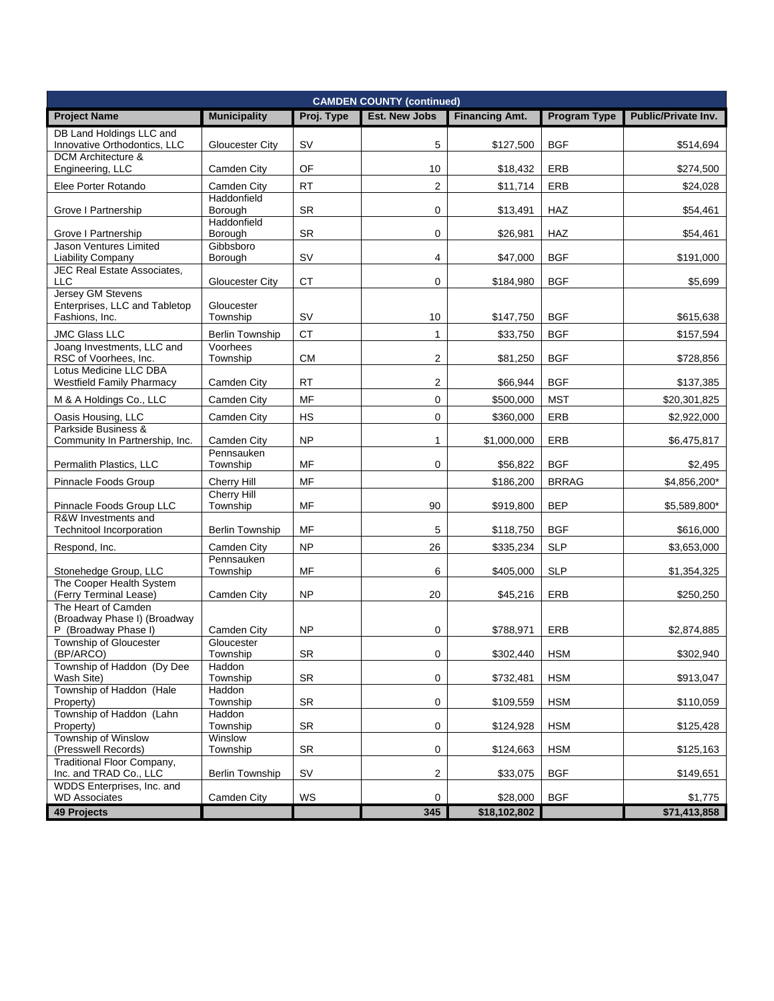| <b>CAMDEN COUNTY (continued)</b>                           |                                    |            |                         |                       |              |                     |  |
|------------------------------------------------------------|------------------------------------|------------|-------------------------|-----------------------|--------------|---------------------|--|
| <b>Project Name</b>                                        | <b>Municipality</b>                | Proj. Type | <b>Est. New Jobs</b>    | <b>Financing Amt.</b> | Program Type | Public/Private Inv. |  |
| DB Land Holdings LLC and                                   |                                    |            |                         |                       |              |                     |  |
| Innovative Orthodontics, LLC<br><b>DCM</b> Architecture &  | Gloucester City                    | <b>SV</b>  | 5                       | \$127,500             | <b>BGF</b>   | \$514,694           |  |
| Engineering, LLC                                           | Camden City                        | OF         | 10                      | \$18,432              | ERB          | \$274,500           |  |
| Elee Porter Rotando                                        | Camden City                        | <b>RT</b>  | $\overline{2}$          | \$11,714              | <b>ERB</b>   | \$24,028            |  |
| Grove I Partnership                                        | Haddonfield<br>Borough             | SR         | 0                       | \$13,491              | <b>HAZ</b>   | \$54,461            |  |
|                                                            | Haddonfield                        |            |                         |                       |              |                     |  |
| Grove I Partnership<br>Jason Ventures Limited              | Borough<br>Gibbsboro               | <b>SR</b>  | $\mathbf 0$             | \$26,981              | <b>HAZ</b>   | \$54,461            |  |
| Liability Company                                          | Borough                            | <b>SV</b>  | $\overline{4}$          | \$47,000              | <b>BGF</b>   | \$191,000           |  |
| <b>JEC Real Estate Associates,</b>                         |                                    |            |                         |                       |              |                     |  |
| <b>LLC</b><br>Jersey GM Stevens                            | Gloucester City                    | <b>CT</b>  | 0                       | \$184,980             | <b>BGF</b>   | \$5,699             |  |
| Enterprises, LLC and Tabletop                              | Gloucester                         |            |                         |                       |              |                     |  |
| Fashions, Inc.                                             | Township                           | SV         | 10                      | \$147,750             | <b>BGF</b>   | \$615,638           |  |
| <b>JMC Glass LLC</b><br>Joang Investments, LLC and         | <b>Berlin Township</b><br>Voorhees | <b>CT</b>  | $\mathbf{1}$            | \$33,750              | <b>BGF</b>   | \$157,594           |  |
| RSC of Voorhees, Inc.                                      | Township                           | <b>CM</b>  | 2                       | \$81,250              | <b>BGF</b>   | \$728,856           |  |
| Lotus Medicine LLC DBA<br><b>Westfield Family Pharmacy</b> |                                    | <b>RT</b>  | $\overline{2}$          |                       | <b>BGF</b>   |                     |  |
|                                                            | Camden City                        | MF         |                         | \$66,944              |              | \$137,385           |  |
| M & A Holdings Co., LLC                                    | Camden City                        |            | $\mathbf 0$             | \$500,000             | <b>MST</b>   | \$20,301,825        |  |
| Oasis Housing, LLC<br>Parkside Business &                  | Camden City                        | <b>HS</b>  | $\mathbf 0$             | \$360,000             | ERB          | \$2,922,000         |  |
| Community In Partnership, Inc.                             | Camden City                        | <b>NP</b>  | 1                       | \$1,000,000           | <b>ERB</b>   | \$6,475,817         |  |
| Permalith Plastics, LLC                                    | Pennsauken<br>Township             | MF         | 0                       | \$56,822              | <b>BGF</b>   | \$2,495             |  |
| Pinnacle Foods Group                                       | Cherry Hill                        | MF         |                         | \$186,200             | <b>BRRAG</b> | \$4,856,200*        |  |
|                                                            | <b>Cherry Hill</b>                 |            |                         |                       |              |                     |  |
| Pinnacle Foods Group LLC<br>R&W Investments and            | Township                           | MF         | 90                      | \$919,800             | <b>BEP</b>   | \$5,589,800*        |  |
| <b>Technitool Incorporation</b>                            | <b>Berlin Township</b>             | MF         | 5                       | \$118,750             | <b>BGF</b>   | \$616,000           |  |
| Respond, Inc.                                              | Camden City                        | <b>NP</b>  | 26                      | \$335,234             | <b>SLP</b>   | \$3,653,000         |  |
|                                                            | Pennsauken                         |            |                         |                       |              |                     |  |
| Stonehedge Group, LLC<br>The Cooper Health System          | Township                           | MF         | 6                       | \$405,000             | <b>SLP</b>   | \$1,354,325         |  |
| (Ferry Terminal Lease)                                     | Camden City                        | <b>NP</b>  | 20                      | \$45,216              | ERB          | \$250,250           |  |
| The Heart of Camden<br>(Broadway Phase I) (Broadway        |                                    |            |                         |                       |              |                     |  |
| P (Broadway Phase I)                                       | Camden City                        | <b>NP</b>  | 0                       | \$788,971             | ERB          | \$2,874,885         |  |
| Township of Gloucester                                     | Gloucester                         |            | 0                       |                       |              |                     |  |
| (BP/ARCO)<br>Township of Haddon (Dy Dee                    | Township<br>Haddon                 | <b>SR</b>  |                         | \$302,440             | <b>HSM</b>   | \$302,940           |  |
| Wash Site)                                                 | Township                           | <b>SR</b>  | 0                       | \$732,481             | <b>HSM</b>   | \$913,047           |  |
| Township of Haddon (Hale<br>Property)                      | Haddon<br>Township                 | SR         | $\mathbf 0$             | \$109,559             | <b>HSM</b>   | \$110,059           |  |
| Township of Haddon (Lahn                                   | Haddon                             |            |                         |                       |              |                     |  |
| Property)<br>Township of Winslow                           | Township<br>Winslow                | <b>SR</b>  | 0                       | \$124,928             | <b>HSM</b>   | \$125,428           |  |
| (Presswell Records)                                        | Township                           | <b>SR</b>  | $\mathbf 0$             | \$124,663             | <b>HSM</b>   | \$125,163           |  |
| Traditional Floor Company,                                 |                                    |            |                         |                       |              |                     |  |
| Inc. and TRAD Co., LLC<br>WDDS Enterprises, Inc. and       | <b>Berlin Township</b>             | <b>SV</b>  | $\overline{\mathbf{c}}$ | \$33,075              | <b>BGF</b>   | \$149,651           |  |
| <b>WD Associates</b>                                       | Camden City                        | WS         | $\mathbf 0$             | \$28,000              | <b>BGF</b>   | \$1,775             |  |
| <b>49 Projects</b>                                         |                                    |            | 345                     | \$18,102,802          |              | \$71,413,858        |  |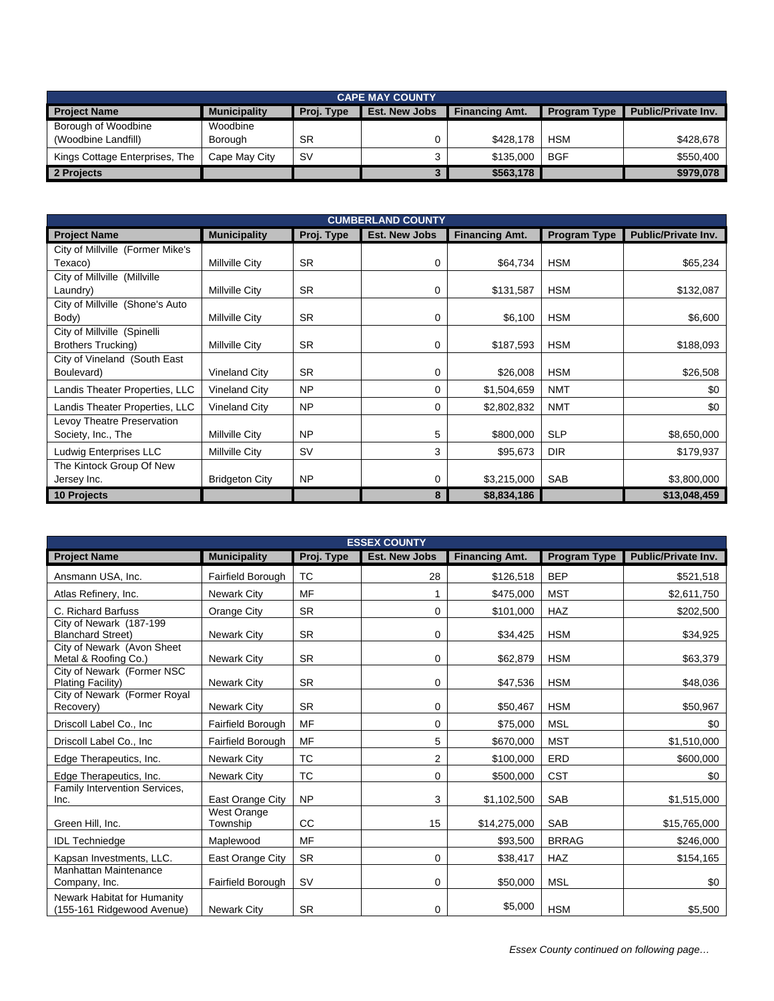| <b>CAPE MAY COUNTY</b>         |                     |            |                      |                       |                     |                            |  |  |
|--------------------------------|---------------------|------------|----------------------|-----------------------|---------------------|----------------------------|--|--|
| <b>Project Name</b>            | <b>Municipality</b> | Proj. Type | <b>Est. New Jobs</b> | <b>Financing Amt.</b> | <b>Program Type</b> | <b>Public/Private Inv.</b> |  |  |
| Borough of Woodbine            | Woodbine            |            |                      |                       |                     |                            |  |  |
| (Woodbine Landfill)            | Borough             | <b>SR</b>  |                      | \$428.178             | <b>HSM</b>          | \$428,678                  |  |  |
| Kings Cottage Enterprises, The | Cape May City       | <b>SV</b>  |                      | \$135,000             | <b>BGF</b>          | \$550.400                  |  |  |
| 2 Projects                     |                     |            |                      | \$563,178             |                     | \$979,078                  |  |  |

| <b>CUMBERLAND COUNTY</b>         |                       |            |               |                       |                     |                            |  |
|----------------------------------|-----------------------|------------|---------------|-----------------------|---------------------|----------------------------|--|
| <b>Project Name</b>              | <b>Municipality</b>   | Proj. Type | Est. New Jobs | <b>Financing Amt.</b> | <b>Program Type</b> | <b>Public/Private Inv.</b> |  |
| City of Millville (Former Mike's |                       |            |               |                       |                     |                            |  |
| Texaco)                          | Millville City        | <b>SR</b>  | 0             | \$64,734              | <b>HSM</b>          | \$65,234                   |  |
| City of Millville (Millville     |                       |            |               |                       |                     |                            |  |
| Laundry)                         | Millville City        | <b>SR</b>  | 0             | \$131,587             | <b>HSM</b>          | \$132,087                  |  |
| City of Millville (Shone's Auto  |                       |            |               |                       |                     |                            |  |
| Body)                            | Millville City        | <b>SR</b>  | 0             | \$6,100               | <b>HSM</b>          | \$6,600                    |  |
| City of Millville (Spinelli      |                       |            |               |                       |                     |                            |  |
| <b>Brothers Trucking)</b>        | Millville City        | <b>SR</b>  | 0             | \$187,593             | <b>HSM</b>          | \$188,093                  |  |
| City of Vineland (South East     |                       |            |               |                       |                     |                            |  |
| Boulevard)                       | <b>Vineland City</b>  | <b>SR</b>  | 0             | \$26,008              | <b>HSM</b>          | \$26,508                   |  |
| Landis Theater Properties, LLC   | Vineland City         | <b>NP</b>  | 0             | \$1,504,659           | <b>NMT</b>          | \$0                        |  |
| Landis Theater Properties, LLC   | Vineland City         | <b>NP</b>  | 0             | \$2,802,832           | <b>NMT</b>          | \$0                        |  |
| Levoy Theatre Preservation       |                       |            |               |                       |                     |                            |  |
| Society, Inc., The               | Millville City        | <b>NP</b>  | 5             | \$800,000             | <b>SLP</b>          | \$8,650,000                |  |
| Ludwig Enterprises LLC           | Millville City        | <b>SV</b>  | 3             | \$95,673              | <b>DIR</b>          | \$179,937                  |  |
| The Kintock Group Of New         |                       |            |               |                       |                     |                            |  |
| Jersey Inc.                      | <b>Bridgeton City</b> | <b>NP</b>  | 0             | \$3,215,000           | <b>SAB</b>          | \$3,800,000                |  |
| 10 Projects                      |                       |            | 8             | \$8,834,186           |                     | \$13,048,459               |  |

| <b>ESSEX COUNTY</b>                                       |                                |            |                      |                       |              |                     |  |  |
|-----------------------------------------------------------|--------------------------------|------------|----------------------|-----------------------|--------------|---------------------|--|--|
| <b>Project Name</b>                                       | <b>Municipality</b>            | Proj. Type | <b>Est. New Jobs</b> | <b>Financing Amt.</b> | Program Type | Public/Private Inv. |  |  |
| Ansmann USA, Inc.                                         | Fairfield Borough              | <b>TC</b>  | 28                   | \$126,518             | <b>BEP</b>   | \$521,518           |  |  |
| Atlas Refinery, Inc.                                      | <b>Newark City</b>             | MF         |                      | \$475,000             | <b>MST</b>   | \$2,611,750         |  |  |
| C. Richard Barfuss                                        | Orange City                    | <b>SR</b>  | 0                    | \$101,000             | <b>HAZ</b>   | \$202,500           |  |  |
| City of Newark (187-199<br><b>Blanchard Street)</b>       | <b>Newark City</b>             | <b>SR</b>  | 0                    | \$34,425              | <b>HSM</b>   | \$34,925            |  |  |
| City of Newark (Avon Sheet<br>Metal & Roofing Co.)        | Newark City                    | <b>SR</b>  | 0                    | \$62,879              | <b>HSM</b>   | \$63,379            |  |  |
| City of Newark (Former NSC<br>Plating Facility)           | <b>Newark City</b>             | <b>SR</b>  | 0                    | \$47,536              | <b>HSM</b>   | \$48,036            |  |  |
| City of Newark (Former Royal<br>Recovery)                 | <b>Newark City</b>             | <b>SR</b>  | 0                    | \$50,467              | <b>HSM</b>   | \$50,967            |  |  |
| Driscoll Label Co., Inc.                                  | Fairfield Borough              | MF         | 0                    | \$75,000              | <b>MSL</b>   | \$0                 |  |  |
| Driscoll Label Co., Inc                                   | Fairfield Borough              | MF         | 5                    | \$670,000             | <b>MST</b>   | \$1,510,000         |  |  |
| Edge Therapeutics, Inc.                                   | <b>Newark City</b>             | <b>TC</b>  | $\overline{2}$       | \$100,000             | ERD          | \$600,000           |  |  |
| Edge Therapeutics, Inc.                                   | <b>Newark City</b>             | <b>TC</b>  | 0                    | \$500,000             | <b>CST</b>   | \$0                 |  |  |
| Family Intervention Services,<br>Inc.                     | East Orange City               | <b>NP</b>  | 3                    | \$1,102,500           | SAB          | \$1,515,000         |  |  |
| Green Hill, Inc.                                          | <b>West Orange</b><br>Township | CC         | 15                   | \$14,275,000          | <b>SAB</b>   | \$15,765,000        |  |  |
| <b>IDL Techniedge</b>                                     | Maplewood                      | <b>MF</b>  |                      | \$93,500              | <b>BRRAG</b> | \$246,000           |  |  |
| Kapsan Investments, LLC.                                  | East Orange City               | <b>SR</b>  | 0                    | \$38,417              | <b>HAZ</b>   | \$154,165           |  |  |
| Manhattan Maintenance<br>Company, Inc.                    | Fairfield Borough              | <b>SV</b>  | 0                    | \$50,000              | <b>MSL</b>   | \$0                 |  |  |
| Newark Habitat for Humanity<br>(155-161 Ridgewood Avenue) | <b>Newark City</b>             | <b>SR</b>  | 0                    | \$5,000               | <b>HSM</b>   | \$5,500             |  |  |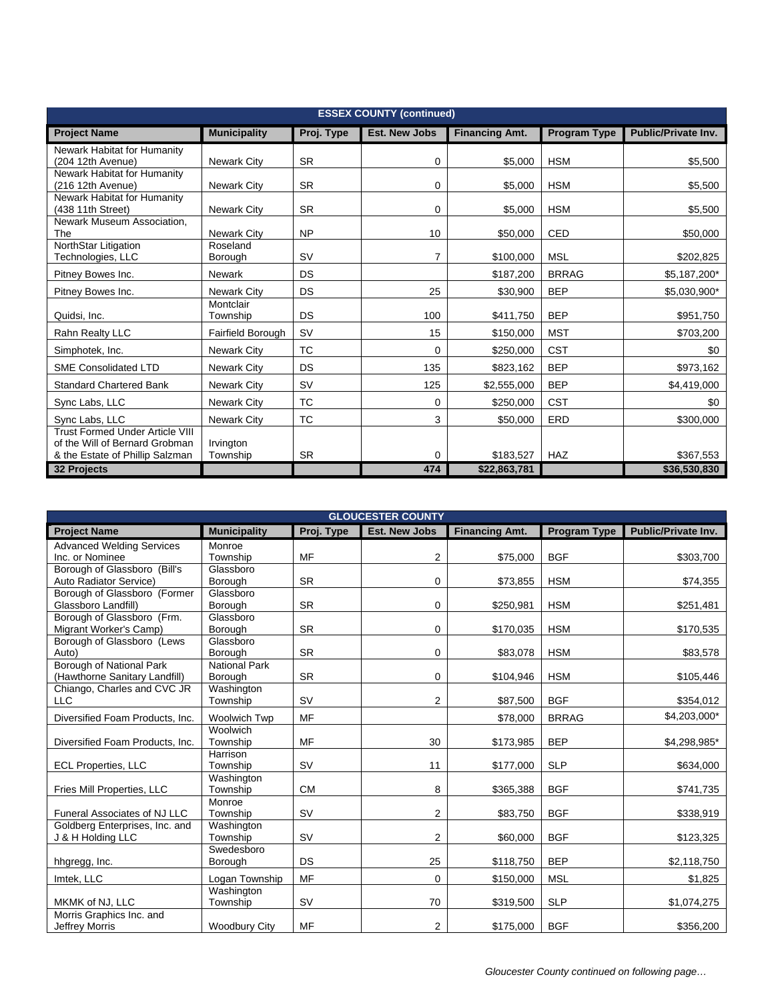| <b>ESSEX COUNTY (continued)</b>                                                                             |                       |            |                      |                       |                     |                            |  |
|-------------------------------------------------------------------------------------------------------------|-----------------------|------------|----------------------|-----------------------|---------------------|----------------------------|--|
| <b>Project Name</b>                                                                                         | <b>Municipality</b>   | Proj. Type | <b>Est. New Jobs</b> | <b>Financing Amt.</b> | <b>Program Type</b> | <b>Public/Private Inv.</b> |  |
| Newark Habitat for Humanity<br>(204 12th Avenue)                                                            | <b>Newark City</b>    | <b>SR</b>  | 0                    | \$5,000               | <b>HSM</b>          | \$5,500                    |  |
| Newark Habitat for Humanity<br>(216 12th Avenue)                                                            | <b>Newark City</b>    | <b>SR</b>  | 0                    | \$5,000               | <b>HSM</b>          | \$5,500                    |  |
| Newark Habitat for Humanity<br>(438 11th Street)                                                            | <b>Newark City</b>    | <b>SR</b>  | 0                    | \$5,000               | <b>HSM</b>          | \$5,500                    |  |
| Newark Museum Association,<br>The                                                                           | <b>Newark City</b>    | <b>NP</b>  | 10                   | \$50,000              | <b>CED</b>          | \$50,000                   |  |
| NorthStar Litigation<br>Technologies, LLC                                                                   | Roseland<br>Borough   | <b>SV</b>  | $\overline{7}$       | \$100,000             | <b>MSL</b>          | \$202,825                  |  |
| Pitney Bowes Inc.                                                                                           | <b>Newark</b>         | DS         |                      | \$187,200             | <b>BRRAG</b>        | \$5,187,200*               |  |
| Pitney Bowes Inc.                                                                                           | <b>Newark City</b>    | DS         | 25                   | \$30,900              | <b>BEP</b>          | \$5,030,900*               |  |
| Quidsi, Inc.                                                                                                | Montclair<br>Township | DS         | 100                  | \$411,750             | <b>BEP</b>          | \$951,750                  |  |
| Rahn Realty LLC                                                                                             | Fairfield Borough     | <b>SV</b>  | 15                   | \$150,000             | <b>MST</b>          | \$703,200                  |  |
| Simphotek, Inc.                                                                                             | <b>Newark City</b>    | <b>TC</b>  | $\Omega$             | \$250,000             | <b>CST</b>          | \$0                        |  |
| <b>SME Consolidated LTD</b>                                                                                 | <b>Newark City</b>    | DS         | 135                  | \$823,162             | <b>BEP</b>          | \$973,162                  |  |
| <b>Standard Chartered Bank</b>                                                                              | <b>Newark City</b>    | <b>SV</b>  | 125                  | \$2,555,000           | <b>BEP</b>          | \$4,419,000                |  |
| Sync Labs, LLC                                                                                              | <b>Newark City</b>    | <b>TC</b>  | 0                    | \$250,000             | <b>CST</b>          | \$0                        |  |
| Sync Labs, LLC                                                                                              | <b>Newark City</b>    | <b>TC</b>  | 3                    | \$50,000              | <b>ERD</b>          | \$300,000                  |  |
| <b>Trust Formed Under Article VIII</b><br>of the Will of Bernard Grobman<br>& the Estate of Phillip Salzman | Irvington<br>Township | <b>SR</b>  | 0                    | \$183,527             | <b>HAZ</b>          | \$367,553                  |  |
| 32 Projects                                                                                                 |                       |            | 474                  | \$22,863,781          |                     | \$36,530,830               |  |

| <b>GLOUCESTER COUNTY</b>            |                      |            |                      |                       |                     |                            |  |  |
|-------------------------------------|----------------------|------------|----------------------|-----------------------|---------------------|----------------------------|--|--|
| <b>Project Name</b>                 | <b>Municipality</b>  | Proj. Type | <b>Est. New Jobs</b> | <b>Financing Amt.</b> | <b>Program Type</b> | <b>Public/Private Inv.</b> |  |  |
| <b>Advanced Welding Services</b>    | Monroe               |            |                      |                       |                     |                            |  |  |
| Inc. or Nominee                     | Township             | <b>MF</b>  | 2                    | \$75,000              | <b>BGF</b>          | \$303,700                  |  |  |
| Borough of Glassboro (Bill's        | Glassboro            |            |                      |                       |                     |                            |  |  |
| Auto Radiator Service)              | Borough              | <b>SR</b>  | 0                    | \$73,855              | <b>HSM</b>          | \$74,355                   |  |  |
| Borough of Glassboro (Former        | Glassboro            |            |                      |                       |                     |                            |  |  |
| Glassboro Landfill)                 | Borough              | <b>SR</b>  | 0                    | \$250,981             | <b>HSM</b>          | \$251,481                  |  |  |
| Borough of Glassboro (Frm.          | Glassboro            |            |                      |                       |                     |                            |  |  |
| Migrant Worker's Camp)              | Borough<br>Glassboro | <b>SR</b>  | 0                    | \$170,035             | <b>HSM</b>          | \$170,535                  |  |  |
| Borough of Glassboro (Lews<br>Auto) | Borough              | <b>SR</b>  | 0                    | \$83,078              | <b>HSM</b>          | \$83,578                   |  |  |
| Borough of National Park            | <b>National Park</b> |            |                      |                       |                     |                            |  |  |
| (Hawthorne Sanitary Landfill)       | Borough              | <b>SR</b>  | 0                    | \$104,946             | <b>HSM</b>          | \$105,446                  |  |  |
| Chiango, Charles and CVC JR         | Washington           |            |                      |                       |                     |                            |  |  |
| <b>LLC</b>                          | Township             | <b>SV</b>  | 2                    | \$87,500              | <b>BGF</b>          | \$354,012                  |  |  |
| Diversified Foam Products, Inc.     | <b>Woolwich Twp</b>  | <b>MF</b>  |                      | \$78,000              | <b>BRRAG</b>        | \$4,203,000*               |  |  |
|                                     | Woolwich             |            |                      |                       |                     |                            |  |  |
| Diversified Foam Products, Inc.     | Township             | MF         | 30                   | \$173,985             | <b>BEP</b>          | \$4,298,985*               |  |  |
|                                     | Harrison             |            |                      |                       |                     |                            |  |  |
| <b>ECL Properties, LLC</b>          | Township             | <b>SV</b>  | 11                   | \$177,000             | <b>SLP</b>          | \$634,000                  |  |  |
|                                     | Washington           |            |                      |                       |                     |                            |  |  |
| Fries Mill Properties, LLC          | Township             | <b>CM</b>  | 8                    | \$365,388             | <b>BGF</b>          | \$741,735                  |  |  |
| <b>Funeral Associates of NJ LLC</b> | Monroe<br>Township   | <b>SV</b>  | $\overline{2}$       | \$83,750              | <b>BGF</b>          | \$338,919                  |  |  |
| Goldberg Enterprises, Inc. and      | Washington           |            |                      |                       |                     |                            |  |  |
| J & H Holding LLC                   | Township             | <b>SV</b>  | 2                    | \$60,000              | <b>BGF</b>          | \$123,325                  |  |  |
|                                     | Swedesboro           |            |                      |                       |                     |                            |  |  |
| hhgregg, Inc.                       | Borough              | DS         | 25                   | \$118,750             | <b>BEP</b>          | \$2,118,750                |  |  |
| Imtek, LLC                          | Logan Township       | <b>MF</b>  | $\Omega$             | \$150,000             | <b>MSL</b>          | \$1,825                    |  |  |
|                                     | Washington           |            |                      |                       |                     |                            |  |  |
| MKMK of NJ, LLC                     | Township             | SV         | 70                   | \$319,500             | <b>SLP</b>          | \$1,074,275                |  |  |
| Morris Graphics Inc. and            |                      |            |                      |                       |                     |                            |  |  |
| Jeffrey Morris                      | <b>Woodbury City</b> | <b>MF</b>  | $\overline{2}$       | \$175,000             | <b>BGF</b>          | \$356,200                  |  |  |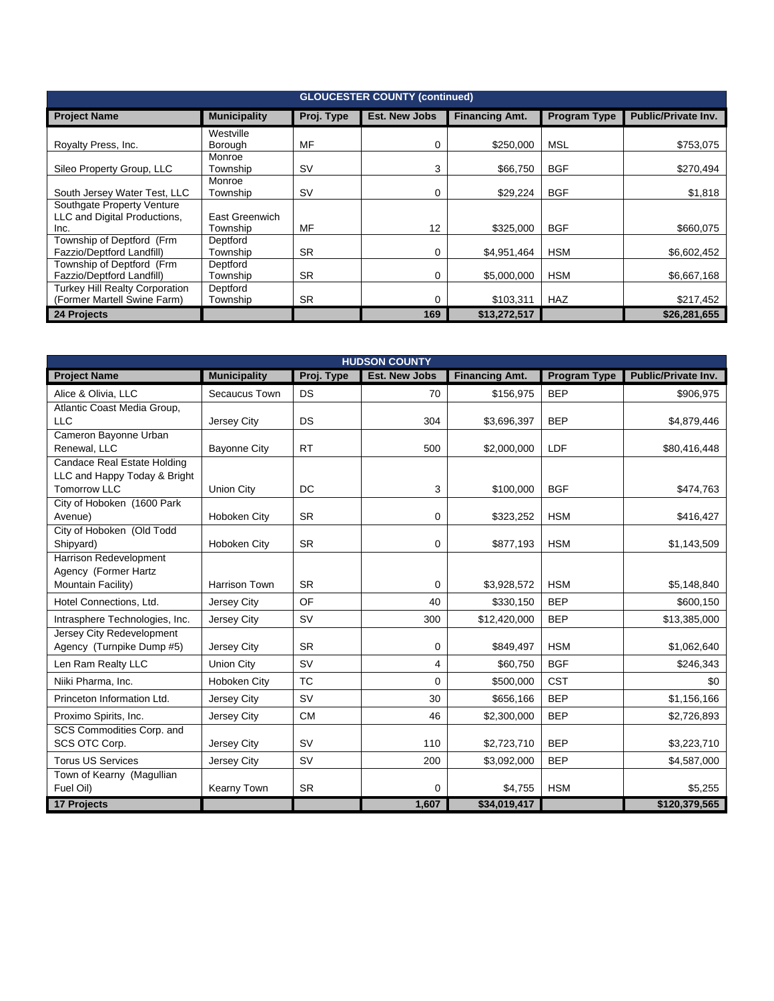| <b>GLOUCESTER COUNTY (continued)</b>  |                     |            |                      |                       |                     |                            |  |  |
|---------------------------------------|---------------------|------------|----------------------|-----------------------|---------------------|----------------------------|--|--|
| <b>Project Name</b>                   | <b>Municipality</b> | Proj. Type | <b>Est. New Jobs</b> | <b>Financing Amt.</b> | <b>Program Type</b> | <b>Public/Private Inv.</b> |  |  |
|                                       | Westville           |            |                      |                       |                     |                            |  |  |
| Royalty Press, Inc.                   | Borough             | MF         | 0                    | \$250.000             | MSL                 | \$753,075                  |  |  |
|                                       | Monroe              |            |                      |                       |                     |                            |  |  |
| Sileo Property Group, LLC             | Township            | <b>SV</b>  | 3                    | \$66,750              | <b>BGF</b>          | \$270,494                  |  |  |
|                                       | Monroe              |            |                      |                       |                     |                            |  |  |
| South Jersey Water Test, LLC          | Township            | <b>SV</b>  | 0                    | \$29,224              | <b>BGF</b>          | \$1,818                    |  |  |
| Southgate Property Venture            |                     |            |                      |                       |                     |                            |  |  |
| LLC and Digital Productions,          | East Greenwich      |            |                      |                       |                     |                            |  |  |
| Inc.                                  | Township            | MF         | 12                   | \$325.000             | <b>BGF</b>          | \$660.075                  |  |  |
| Township of Deptford (Frm             | Deptford            |            |                      |                       |                     |                            |  |  |
| Fazzio/Deptford Landfill)             | Township            | <b>SR</b>  | 0                    | \$4,951,464           | <b>HSM</b>          | \$6,602,452                |  |  |
| Township of Deptford (Frm             | Deptford            |            |                      |                       |                     |                            |  |  |
| Fazzio/Deptford Landfill)             | Township            | <b>SR</b>  | 0                    | \$5,000,000           | <b>HSM</b>          | \$6,667,168                |  |  |
| <b>Turkey Hill Realty Corporation</b> | Deptford            |            |                      |                       |                     |                            |  |  |
| (Former Martell Swine Farm)           | Township            | <b>SR</b>  | 0                    | \$103,311             | <b>HAZ</b>          | \$217,452                  |  |  |
| 24 Projects                           |                     |            | 169                  | \$13,272,517          |                     | \$26,281,655               |  |  |

| <b>HUDSON COUNTY</b>                 |                      |            |                      |                       |                     |                     |  |  |
|--------------------------------------|----------------------|------------|----------------------|-----------------------|---------------------|---------------------|--|--|
| <b>Project Name</b>                  | <b>Municipality</b>  | Proj. Type | <b>Est. New Jobs</b> | <b>Financing Amt.</b> | <b>Program Type</b> | Public/Private Inv. |  |  |
| Alice & Olivia, LLC                  | Secaucus Town        | <b>DS</b>  | 70                   | \$156,975             | <b>BEP</b>          | \$906,975           |  |  |
| Atlantic Coast Media Group,          |                      |            |                      |                       |                     |                     |  |  |
| <b>LLC</b>                           | Jersey City          | <b>DS</b>  | 304                  | \$3,696,397           | <b>BEP</b>          | \$4,879,446         |  |  |
| Cameron Bayonne Urban                |                      |            |                      |                       |                     |                     |  |  |
| Renewal, LLC                         | <b>Bayonne City</b>  | <b>RT</b>  | 500                  | \$2,000,000           | LDF                 | \$80,416,448        |  |  |
| <b>Candace Real Estate Holding</b>   |                      |            |                      |                       |                     |                     |  |  |
| LLC and Happy Today & Bright         |                      |            |                      |                       |                     |                     |  |  |
| <b>Tomorrow LLC</b>                  | Union City           | DC         | 3                    | \$100,000             | <b>BGF</b>          | \$474,763           |  |  |
| City of Hoboken (1600 Park           |                      |            |                      |                       |                     |                     |  |  |
| Avenue)<br>City of Hoboken (Old Todd | Hoboken City         | <b>SR</b>  | $\mathbf 0$          | \$323,252             | <b>HSM</b>          | \$416,427           |  |  |
| Shipyard)                            | Hoboken City         | <b>SR</b>  | 0                    | \$877,193             | <b>HSM</b>          | \$1,143,509         |  |  |
| Harrison Redevelopment               |                      |            |                      |                       |                     |                     |  |  |
| Agency (Former Hartz                 |                      |            |                      |                       |                     |                     |  |  |
| Mountain Facility)                   | <b>Harrison Town</b> | <b>SR</b>  | $\mathbf 0$          | \$3,928,572           | <b>HSM</b>          | \$5,148,840         |  |  |
| Hotel Connections, Ltd.              | Jersey City          | OF         | 40                   | \$330,150             | <b>BEP</b>          | \$600,150           |  |  |
|                                      |                      |            |                      |                       |                     |                     |  |  |
| Intrasphere Technologies, Inc.       | Jersey City          | <b>SV</b>  | 300                  | \$12,420,000          | <b>BEP</b>          | \$13,385,000        |  |  |
| Jersey City Redevelopment            |                      |            |                      |                       |                     |                     |  |  |
| Agency (Turnpike Dump #5)            | Jersey City          | <b>SR</b>  | 0                    | \$849,497             | <b>HSM</b>          | \$1,062,640         |  |  |
| Len Ram Realty LLC                   | Union City           | <b>SV</b>  | 4                    | \$60,750              | <b>BGF</b>          | \$246,343           |  |  |
| Niiki Pharma, Inc.                   | Hoboken City         | <b>TC</b>  | $\Omega$             | \$500,000             | <b>CST</b>          | \$0                 |  |  |
| Princeton Information Ltd.           | Jersey City          | <b>SV</b>  | 30                   | \$656,166             | <b>BEP</b>          | \$1,156,166         |  |  |
| Proximo Spirits, Inc.                | Jersey City          | <b>CM</b>  | 46                   | \$2,300,000           | <b>BEP</b>          | \$2,726,893         |  |  |
| SCS Commodities Corp. and            |                      |            |                      |                       |                     |                     |  |  |
| SCS OTC Corp.                        | Jersey City          | <b>SV</b>  | 110                  | \$2,723,710           | <b>BEP</b>          | \$3,223,710         |  |  |
| <b>Torus US Services</b>             | Jersey City          | <b>SV</b>  | 200                  | \$3,092,000           | <b>BEP</b>          | \$4,587,000         |  |  |
| Town of Kearny (Magullian            |                      |            |                      |                       |                     |                     |  |  |
| Fuel Oil)                            | Kearny Town          | <b>SR</b>  | 0                    | \$4,755               | <b>HSM</b>          | \$5,255             |  |  |
| 17 Projects                          |                      |            | 1,607                | \$34,019,417          |                     | \$120,379,565       |  |  |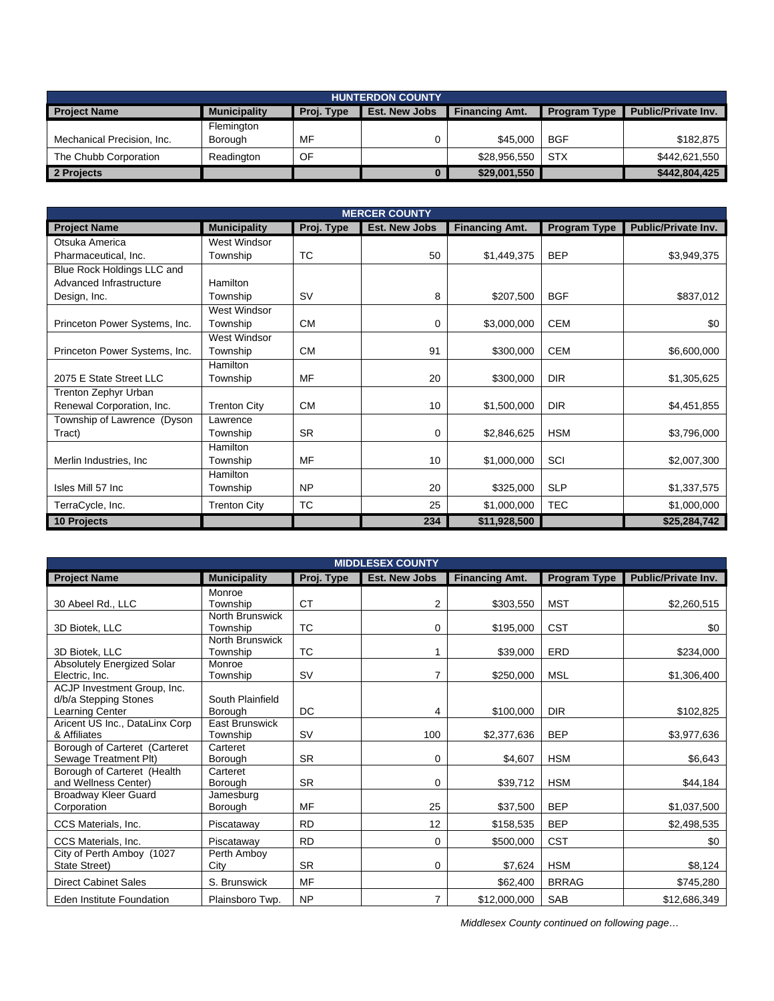| <b>HUNTERDON COUNTY</b>    |                     |            |                      |                       |                     |                            |  |  |
|----------------------------|---------------------|------------|----------------------|-----------------------|---------------------|----------------------------|--|--|
| <b>Project Name</b>        | <b>Municipality</b> | Proj. Type | <b>Est. New Jobs</b> | <b>Financing Amt.</b> | <b>Program Type</b> | <b>Public/Private Inv.</b> |  |  |
|                            | Flemington          |            |                      |                       |                     |                            |  |  |
| Mechanical Precision, Inc. | Borough             | MF         |                      | \$45,000              | <b>BGF</b>          | \$182,875                  |  |  |
| The Chubb Corporation      | Readington          | OF         |                      | \$28,956,550          | <b>STX</b>          | \$442,621,550              |  |  |
| 2 Projects                 |                     |            |                      | \$29,001,550          |                     | \$442,804,425              |  |  |

| <b>MERCER COUNTY</b>          |                     |            |                      |                       |                     |                            |  |  |
|-------------------------------|---------------------|------------|----------------------|-----------------------|---------------------|----------------------------|--|--|
| <b>Project Name</b>           | <b>Municipality</b> | Proj. Type | <b>Est. New Jobs</b> | <b>Financing Amt.</b> | <b>Program Type</b> | <b>Public/Private Inv.</b> |  |  |
| Otsuka America                | West Windsor        |            |                      |                       |                     |                            |  |  |
| Pharmaceutical, Inc.          | Township            | <b>TC</b>  | 50                   | \$1,449,375           | <b>BEP</b>          | \$3,949,375                |  |  |
| Blue Rock Holdings LLC and    |                     |            |                      |                       |                     |                            |  |  |
| Advanced Infrastructure       | Hamilton            |            |                      |                       |                     |                            |  |  |
| Design, Inc.                  | Township            | <b>SV</b>  | 8                    | \$207,500             | <b>BGF</b>          | \$837,012                  |  |  |
|                               | West Windsor        |            |                      |                       |                     |                            |  |  |
| Princeton Power Systems, Inc. | Township            | <b>CM</b>  | 0                    | \$3,000,000           | <b>CEM</b>          | \$0                        |  |  |
|                               | West Windsor        |            |                      |                       |                     |                            |  |  |
| Princeton Power Systems, Inc. | Township            | <b>CM</b>  | 91                   | \$300,000             | <b>CEM</b>          | \$6,600,000                |  |  |
|                               | <b>Hamilton</b>     |            |                      |                       |                     |                            |  |  |
| 2075 E State Street LLC       | Township            | MF         | 20                   | \$300,000             | <b>DIR</b>          | \$1,305,625                |  |  |
| Trenton Zephyr Urban          |                     |            |                      |                       |                     |                            |  |  |
| Renewal Corporation, Inc.     | <b>Trenton City</b> | <b>CM</b>  | 10                   | \$1,500,000           | <b>DIR</b>          | \$4,451,855                |  |  |
| Township of Lawrence (Dyson   | Lawrence            |            |                      |                       |                     |                            |  |  |
| Tract)                        | Township            | <b>SR</b>  | 0                    | \$2,846,625           | <b>HSM</b>          | \$3,796,000                |  |  |
|                               | <b>Hamilton</b>     |            |                      |                       |                     |                            |  |  |
| Merlin Industries, Inc.       | Township            | MF         | 10                   | \$1,000,000           | SCI                 | \$2,007,300                |  |  |
|                               | <b>Hamilton</b>     |            |                      |                       |                     |                            |  |  |
| Isles Mill 57 Inc             | Township            | <b>NP</b>  | 20                   | \$325,000             | <b>SLP</b>          | \$1,337,575                |  |  |
| TerraCycle, Inc.              | <b>Trenton City</b> | <b>TC</b>  | 25                   | \$1,000,000           | <b>TEC</b>          | \$1,000,000                |  |  |
| 10 Projects                   |                     |            | 234                  | \$11,928,500          |                     | \$25,284,742               |  |  |

| <b>MIDDLESEX COUNTY</b>                              |                       |            |                      |                       |                     |                            |  |  |
|------------------------------------------------------|-----------------------|------------|----------------------|-----------------------|---------------------|----------------------------|--|--|
| <b>Project Name</b>                                  | <b>Municipality</b>   | Proj. Type | <b>Est. New Jobs</b> | <b>Financing Amt.</b> | <b>Program Type</b> | <b>Public/Private Inv.</b> |  |  |
|                                                      | Monroe                |            |                      |                       |                     |                            |  |  |
| 30 Abeel Rd., LLC                                    | Township              | <b>CT</b>  | 2                    | \$303,550             | <b>MST</b>          | \$2,260,515                |  |  |
|                                                      | North Brunswick       |            |                      |                       |                     |                            |  |  |
| 3D Biotek, LLC                                       | Township              | <b>TC</b>  | 0                    | \$195,000             | <b>CST</b>          | \$0                        |  |  |
|                                                      | North Brunswick       |            |                      |                       |                     |                            |  |  |
| 3D Biotek, LLC                                       | Township              | <b>TC</b>  |                      | \$39,000              | ERD                 | \$234,000                  |  |  |
| Absolutely Energized Solar                           | Monroe                |            |                      |                       |                     |                            |  |  |
| Electric, Inc.                                       | Township              | <b>SV</b>  | 7                    | \$250,000             | <b>MSL</b>          | \$1,306,400                |  |  |
| ACJP Investment Group, Inc.<br>d/b/a Stepping Stones | South Plainfield      |            |                      |                       |                     |                            |  |  |
| Learning Center                                      | <b>Borough</b>        | DC         | 4                    | \$100,000             | <b>DIR</b>          | \$102,825                  |  |  |
| Aricent US Inc., DataLinx Corp                       | <b>East Brunswick</b> |            |                      |                       |                     |                            |  |  |
| & Affiliates                                         | Township              | <b>SV</b>  | 100                  | \$2,377,636           | <b>BEP</b>          | \$3,977,636                |  |  |
| Borough of Carteret (Carteret                        | Carteret              |            |                      |                       |                     |                            |  |  |
| Sewage Treatment Plt)                                | Borough               | <b>SR</b>  | 0                    | \$4,607               | <b>HSM</b>          | \$6,643                    |  |  |
| Borough of Carteret (Health                          | Carteret              |            |                      |                       |                     |                            |  |  |
| and Wellness Center)                                 | Borough               | <b>SR</b>  | 0                    | \$39,712              | <b>HSM</b>          | \$44,184                   |  |  |
| <b>Broadway Kleer Guard</b>                          | Jamesburg             |            |                      |                       |                     |                            |  |  |
| Corporation                                          | Borough               | MF         | 25                   | \$37,500              | <b>BEP</b>          | \$1,037,500                |  |  |
| CCS Materials, Inc.                                  | Piscataway            | <b>RD</b>  | 12                   | \$158,535             | <b>BEP</b>          | \$2,498,535                |  |  |
| CCS Materials, Inc.                                  | Piscataway            | <b>RD</b>  | 0                    | \$500,000             | <b>CST</b>          | \$0                        |  |  |
| City of Perth Amboy (1027                            | Perth Amboy           |            |                      |                       |                     |                            |  |  |
| State Street)                                        | City                  | <b>SR</b>  | 0                    | \$7,624               | <b>HSM</b>          | \$8,124                    |  |  |
| <b>Direct Cabinet Sales</b>                          | S. Brunswick          | MF         |                      | \$62,400              | <b>BRRAG</b>        | \$745,280                  |  |  |
| Eden Institute Foundation                            | Plainsboro Twp.       | <b>NP</b>  | $\overline{7}$       | \$12,000,000          | <b>SAB</b>          | \$12,686,349               |  |  |

*Middlesex County continued on following page…*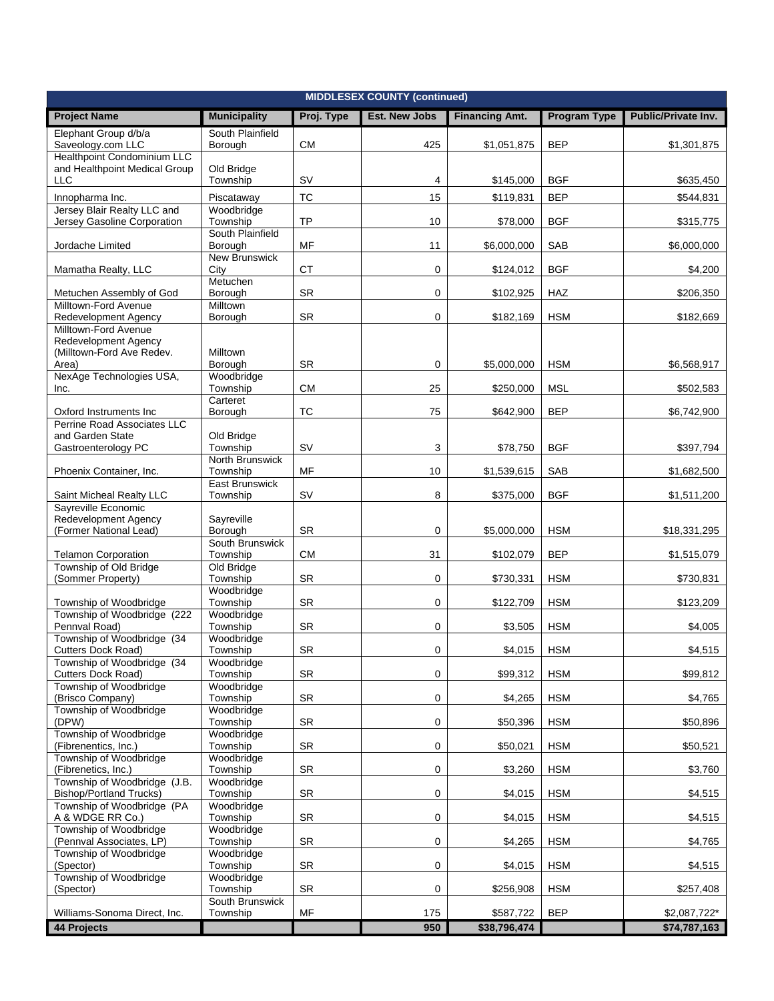| <b>MIDDLESEX COUNTY (continued)</b>                                              |                              |            |                      |                       |                     |                     |  |
|----------------------------------------------------------------------------------|------------------------------|------------|----------------------|-----------------------|---------------------|---------------------|--|
| <b>Project Name</b>                                                              | <b>Municipality</b>          | Proj. Type | <b>Est. New Jobs</b> | <b>Financing Amt.</b> | <b>Program Type</b> | Public/Private Inv. |  |
| Elephant Group d/b/a<br>Saveology.com LLC                                        | South Plainfield<br>Borough  | <b>CM</b>  | 425                  | \$1,051,875           | <b>BEP</b>          | \$1,301,875         |  |
| <b>Healthpoint Condominium LLC</b>                                               |                              |            |                      |                       |                     |                     |  |
| and Healthpoint Medical Group<br><b>LLC</b>                                      | Old Bridge<br>Township       | <b>SV</b>  | 4                    | \$145,000             | <b>BGF</b>          | \$635,450           |  |
|                                                                                  |                              | <b>TC</b>  | 15                   |                       | <b>BEP</b>          |                     |  |
| Innopharma Inc.<br>Jersey Blair Realty LLC and                                   | Piscataway<br>Woodbridge     |            |                      | \$119,831             |                     | \$544,831           |  |
| Jersey Gasoline Corporation                                                      | Township                     | TP         | 10                   | \$78,000              | <b>BGF</b>          | \$315,775           |  |
| Jordache Limited                                                                 | South Plainfield<br>Borough  | MF         | 11                   | \$6,000,000           | <b>SAB</b>          | \$6,000,000         |  |
| Mamatha Realty, LLC                                                              | <b>New Brunswick</b><br>City | <b>CT</b>  | 0                    | \$124,012             | <b>BGF</b>          | \$4,200             |  |
| Metuchen Assembly of God                                                         | Metuchen<br>Borough          | SR         | 0                    | \$102,925             | HAZ                 | \$206,350           |  |
| Milltown-Ford Avenue                                                             | Milltown                     |            |                      |                       |                     |                     |  |
| <b>Redevelopment Agency</b>                                                      | Borough                      | SR         | 0                    | \$182,169             | <b>HSM</b>          | \$182,669           |  |
| Milltown-Ford Avenue<br><b>Redevelopment Agency</b><br>(Milltown-Ford Ave Redev. | <b>Milltown</b>              |            |                      |                       |                     |                     |  |
| Area)                                                                            | Borough                      | <b>SR</b>  | 0                    | \$5,000,000           | <b>HSM</b>          | \$6,568,917         |  |
| NexAge Technologies USA,<br>Inc.                                                 | Woodbridge<br>Township       | <b>CM</b>  | 25                   | \$250,000             | <b>MSL</b>          | \$502,583           |  |
|                                                                                  | Carteret                     |            |                      |                       |                     |                     |  |
| Oxford Instruments Inc.<br>Perrine Road Associates LLC                           | Borough                      | TC         | 75                   | \$642,900             | <b>BEP</b>          | \$6,742,900         |  |
| and Garden State                                                                 | Old Bridge                   |            |                      |                       |                     |                     |  |
| Gastroenterology PC                                                              | Township                     | SV         | 3                    | \$78,750              | <b>BGF</b>          | \$397,794           |  |
| Phoenix Container, Inc.                                                          | North Brunswick<br>Township  | MF         | 10                   | \$1,539,615           | SAB                 | \$1,682,500         |  |
| Saint Micheal Realty LLC                                                         | East Brunswick<br>Township   | SV         | 8                    | \$375,000             | <b>BGF</b>          | \$1,511,200         |  |
| Sayreville Economic                                                              |                              |            |                      |                       |                     |                     |  |
| Redevelopment Agency<br>(Former National Lead)                                   | Sayreville<br>Borough        | SR         | $\mathbf 0$          | \$5,000,000           | <b>HSM</b>          | \$18,331,295        |  |
|                                                                                  | South Brunswick              |            |                      |                       |                     |                     |  |
| <b>Telamon Corporation</b><br>Township of Old Bridge                             | Township<br>Old Bridge       | <b>CM</b>  | 31                   | \$102,079             | <b>BEP</b>          | \$1,515,079         |  |
| (Sommer Property)                                                                | Township                     | <b>SR</b>  | 0                    | \$730,331             | <b>HSM</b>          | \$730,831           |  |
| Township of Woodbridge                                                           | Woodbridge<br>Township       | <b>SR</b>  | $\mathbf 0$          | \$122,709             | <b>HSM</b>          | \$123,209           |  |
| Township of Woodbridge (222                                                      | Woodbridge                   |            |                      |                       |                     |                     |  |
| Pennval Road)<br>Township of Woodbridge (34                                      | Township<br>Woodbridge       | SR         | 0                    | \$3,505               | <b>HSM</b>          | \$4,005             |  |
| Cutters Dock Road)                                                               | Township                     | SR         | 0                    | \$4,015               | <b>HSM</b>          | \$4,515             |  |
| Township of Woodbridge (34<br>Cutters Dock Road)                                 | Woodbridge<br>Township       | SR         | 0                    | \$99,312              | <b>HSM</b>          | \$99,812            |  |
| Township of Woodbridge                                                           | Woodbridge                   |            |                      |                       |                     |                     |  |
| (Brisco Company)<br>Township of Woodbridge                                       | Township<br>Woodbridge       | SR         | $\mathbf 0$          | \$4,265               | <b>HSM</b>          | \$4,765             |  |
| (DPW)                                                                            | Township                     | SR         | 0                    | \$50,396              | <b>HSM</b>          | \$50,896            |  |
| Township of Woodbridge<br>(Fibrenentics, Inc.)                                   | Woodbridge<br>Township       | SR         | 0                    | \$50,021              | <b>HSM</b>          | \$50,521            |  |
| Township of Woodbridge<br>(Fibrenetics, Inc.)                                    | Woodbridge<br>Township       | SR         | $\mathbf 0$          | \$3,260               | <b>HSM</b>          | \$3,760             |  |
| Township of Woodbridge (J.B.                                                     | Woodbridge                   |            |                      |                       |                     |                     |  |
| <b>Bishop/Portland Trucks)</b><br>Township of Woodbridge (PA                     | Township<br>Woodbridge       | SR         | $\mathsf 0$          | \$4,015               | <b>HSM</b>          | \$4,515             |  |
| A & WDGE RR Co.)<br>Township of Woodbridge                                       | Township<br>Woodbridge       | SR         | $\mathbf 0$          | \$4,015               | <b>HSM</b>          | \$4,515             |  |
| (Pennval Associates, LP)                                                         | Township                     | SR         | $\mathsf 0$          | \$4,265               | <b>HSM</b>          | \$4,765             |  |
| Township of Woodbridge<br>(Spector)                                              | Woodbridge<br>Township       | <b>SR</b>  | 0                    | \$4,015               | <b>HSM</b>          | \$4,515             |  |
| Township of Woodbridge                                                           | Woodbridge                   |            |                      |                       |                     |                     |  |
| (Spector)                                                                        | Township<br>South Brunswick  | SR         | 0                    | \$256,908             | <b>HSM</b>          | \$257,408           |  |
| Williams-Sonoma Direct, Inc.                                                     | Township                     | MF         | 175                  | \$587,722             | <b>BEP</b>          | \$2,087,722*        |  |
| 44 Projects                                                                      |                              |            | 950                  | \$38,796,474          |                     | \$74,787,163        |  |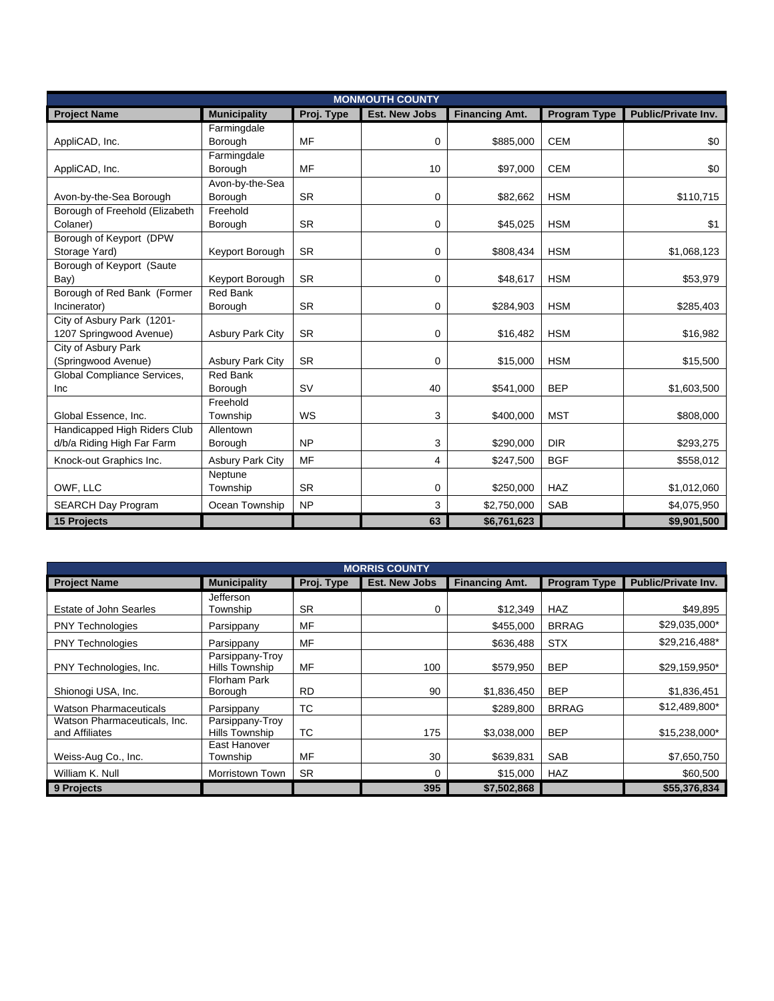|                                                            | <b>MONMOUTH COUNTY</b>     |            |                      |                       |                     |                     |  |  |
|------------------------------------------------------------|----------------------------|------------|----------------------|-----------------------|---------------------|---------------------|--|--|
| <b>Project Name</b>                                        | <b>Municipality</b>        | Proj. Type | <b>Est. New Jobs</b> | <b>Financing Amt.</b> | <b>Program Type</b> | Public/Private Inv. |  |  |
| AppliCAD, Inc.                                             | Farmingdale<br>Borough     | <b>MF</b>  | 0                    | \$885,000             | <b>CEM</b>          | \$0                 |  |  |
| AppliCAD, Inc.                                             | Farmingdale<br>Borough     | MF         | 10                   | \$97,000              | <b>CEM</b>          | \$0                 |  |  |
| Avon-by-the-Sea Borough                                    | Avon-by-the-Sea<br>Borough | <b>SR</b>  | 0                    | \$82,662              | <b>HSM</b>          | \$110,715           |  |  |
| Borough of Freehold (Elizabeth<br>Colaner)                 | Freehold<br>Borough        | <b>SR</b>  | 0                    | \$45,025              | <b>HSM</b>          | \$1                 |  |  |
| Borough of Keyport (DPW<br>Storage Yard)                   | Keyport Borough            | <b>SR</b>  | 0                    | \$808,434             | <b>HSM</b>          | \$1,068,123         |  |  |
| Borough of Keyport (Saute<br>Bay)                          | Keyport Borough            | <b>SR</b>  | 0                    | \$48,617              | <b>HSM</b>          | \$53,979            |  |  |
| Borough of Red Bank (Former<br>Incinerator)                | <b>Red Bank</b><br>Borough | <b>SR</b>  | 0                    | \$284,903             | <b>HSM</b>          | \$285,403           |  |  |
| City of Asbury Park (1201-<br>1207 Springwood Avenue)      | <b>Asbury Park City</b>    | <b>SR</b>  | 0                    | \$16,482              | <b>HSM</b>          | \$16,982            |  |  |
| City of Asbury Park<br>(Springwood Avenue)                 | <b>Asbury Park City</b>    | <b>SR</b>  | 0                    | \$15,000              | <b>HSM</b>          | \$15,500            |  |  |
| Global Compliance Services,<br>Inc                         | <b>Red Bank</b><br>Borough | <b>SV</b>  | 40                   | \$541,000             | <b>BEP</b>          | \$1,603,500         |  |  |
| Global Essence, Inc.                                       | Freehold<br>Township       | WS         | 3                    | \$400,000             | <b>MST</b>          | \$808,000           |  |  |
| Handicapped High Riders Club<br>d/b/a Riding High Far Farm | Allentown<br>Borough       | <b>NP</b>  | 3                    | \$290,000             | <b>DIR</b>          | \$293,275           |  |  |
| Knock-out Graphics Inc.                                    | <b>Asbury Park City</b>    | <b>MF</b>  | 4                    | \$247,500             | <b>BGF</b>          | \$558,012           |  |  |
| OWF, LLC                                                   | Neptune<br>Township        | <b>SR</b>  | 0                    | \$250,000             | <b>HAZ</b>          | \$1,012,060         |  |  |
| <b>SEARCH Day Program</b>                                  | Ocean Township             | <b>NP</b>  | 3                    | \$2,750,000           | <b>SAB</b>          | \$4,075,950         |  |  |
| 15 Projects                                                |                            |            | 63                   | \$6,761,623           |                     | \$9,901,500         |  |  |

| <b>MORRIS COUNTY</b>                           |                                          |            |                      |                       |                     |                     |  |  |
|------------------------------------------------|------------------------------------------|------------|----------------------|-----------------------|---------------------|---------------------|--|--|
| <b>Project Name</b>                            | <b>Municipality</b>                      | Proj. Type | <b>Est. New Jobs</b> | <b>Financing Amt.</b> | <b>Program Type</b> | Public/Private Inv. |  |  |
| Estate of John Searles                         | <b>Jefferson</b><br>Township             | <b>SR</b>  | 0                    | \$12,349              | <b>HAZ</b>          | \$49,895            |  |  |
| <b>PNY Technologies</b>                        | Parsippany                               | MF         |                      | \$455,000             | <b>BRRAG</b>        | \$29,035,000*       |  |  |
| <b>PNY Technologies</b>                        | Parsippany                               | MF         |                      | \$636,488             | <b>STX</b>          | \$29,216,488*       |  |  |
| PNY Technologies, Inc.                         | Parsippany-Troy<br><b>Hills Township</b> | MF         | 100                  | \$579,950             | <b>BEP</b>          | \$29,159,950*       |  |  |
| Shionogi USA, Inc.                             | Florham Park<br><b>Borough</b>           | <b>RD</b>  | 90                   | \$1,836,450           | <b>BEP</b>          | \$1,836,451         |  |  |
| <b>Watson Pharmaceuticals</b>                  | Parsippany                               | ТC         |                      | \$289,800             | <b>BRRAG</b>        | \$12,489,800*       |  |  |
| Watson Pharmaceuticals, Inc.<br>and Affiliates | Parsippany-Troy<br>Hills Township        | ТC         | 175                  | \$3,038,000           | <b>BEP</b>          | \$15,238,000*       |  |  |
| Weiss-Aug Co., Inc.                            | East Hanover<br>Township                 | MF         | 30                   | \$639,831             | <b>SAB</b>          | \$7,650,750         |  |  |
| William K. Null                                | Morristown Town                          | <b>SR</b>  | 0                    | \$15,000              | <b>HAZ</b>          | \$60,500            |  |  |
| 9 Projects                                     |                                          |            | 395                  | \$7,502,868           |                     | \$55,376,834        |  |  |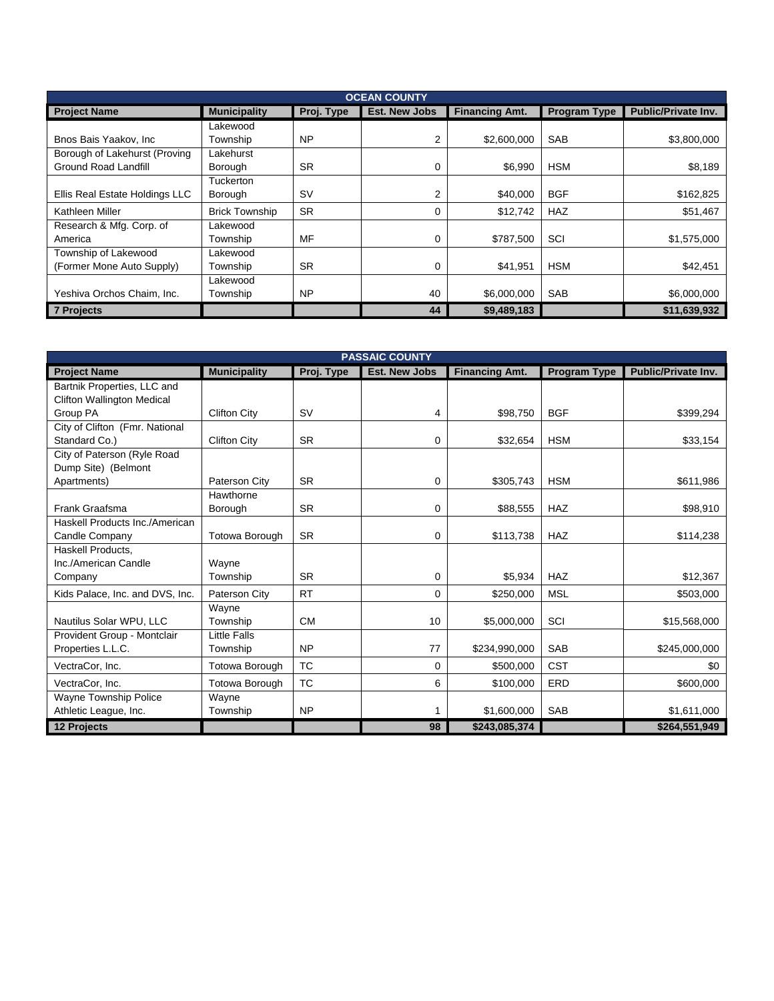| <b>OCEAN COUNTY</b>            |                       |            |                      |                       |                     |                            |  |  |
|--------------------------------|-----------------------|------------|----------------------|-----------------------|---------------------|----------------------------|--|--|
| <b>Project Name</b>            | <b>Municipality</b>   | Proj. Type | <b>Est. New Jobs</b> | <b>Financing Amt.</b> | <b>Program Type</b> | <b>Public/Private Inv.</b> |  |  |
|                                | Lakewood              |            |                      |                       |                     |                            |  |  |
| Bnos Bais Yaakov, Inc.         | Township              | <b>NP</b>  | 2                    | \$2,600,000           | <b>SAB</b>          | \$3,800,000                |  |  |
| Borough of Lakehurst (Proving  | Lakehurst             |            |                      |                       |                     |                            |  |  |
| <b>Ground Road Landfill</b>    | Borough               | <b>SR</b>  | 0                    | \$6,990               | <b>HSM</b>          | \$8,189                    |  |  |
|                                | <b>Tuckerton</b>      |            |                      |                       |                     |                            |  |  |
| Ellis Real Estate Holdings LLC | Borough               | <b>SV</b>  | 2                    | \$40,000              | <b>BGF</b>          | \$162,825                  |  |  |
| Kathleen Miller                | <b>Brick Township</b> | <b>SR</b>  | 0                    | \$12,742              | <b>HAZ</b>          | \$51,467                   |  |  |
| Research & Mfg. Corp. of       | Lakewood              |            |                      |                       |                     |                            |  |  |
| America                        | Township              | MF         | 0                    | \$787,500             | SCI                 | \$1,575,000                |  |  |
| Township of Lakewood           | Lakewood              |            |                      |                       |                     |                            |  |  |
| (Former Mone Auto Supply)      | Township              | <b>SR</b>  | 0                    | \$41,951              | <b>HSM</b>          | \$42,451                   |  |  |
|                                | Lakewood              |            |                      |                       |                     |                            |  |  |
| Yeshiva Orchos Chaim, Inc.     | Township              | <b>NP</b>  | 40                   | \$6,000,000           | <b>SAB</b>          | \$6,000,000                |  |  |
| <b>7 Projects</b>              |                       |            | 44                   | \$9,489,183           |                     | \$11,639,932               |  |  |

| <b>PASSAIC COUNTY</b>             |                     |            |                      |                       |              |                            |  |  |
|-----------------------------------|---------------------|------------|----------------------|-----------------------|--------------|----------------------------|--|--|
| <b>Project Name</b>               | <b>Municipality</b> | Proj. Type | <b>Est. New Jobs</b> | <b>Financing Amt.</b> | Program Type | <b>Public/Private Inv.</b> |  |  |
| Bartnik Properties, LLC and       |                     |            |                      |                       |              |                            |  |  |
| <b>Clifton Wallington Medical</b> |                     |            |                      |                       |              |                            |  |  |
| Group PA                          | <b>Clifton City</b> | <b>SV</b>  | 4                    | \$98,750              | <b>BGF</b>   | \$399,294                  |  |  |
| City of Clifton (Fmr. National    |                     |            |                      |                       |              |                            |  |  |
| Standard Co.)                     | <b>Clifton City</b> | <b>SR</b>  | 0                    | \$32,654              | <b>HSM</b>   | \$33,154                   |  |  |
| City of Paterson (Ryle Road       |                     |            |                      |                       |              |                            |  |  |
| Dump Site) (Belmont               |                     |            |                      |                       |              |                            |  |  |
| Apartments)                       | Paterson City       | <b>SR</b>  | 0                    | \$305.743             | <b>HSM</b>   | \$611.986                  |  |  |
|                                   | Hawthorne           |            |                      |                       |              |                            |  |  |
| Frank Graafsma                    | Borough             | <b>SR</b>  | 0                    | \$88,555              | <b>HAZ</b>   | \$98,910                   |  |  |
| Haskell Products Inc./American    |                     |            |                      |                       |              |                            |  |  |
| Candle Company                    | Totowa Borough      | <b>SR</b>  | 0                    | \$113,738             | <b>HAZ</b>   | \$114,238                  |  |  |
| Haskell Products,                 |                     |            |                      |                       |              |                            |  |  |
| Inc./American Candle              | Wayne               |            |                      |                       |              |                            |  |  |
| Company                           | Township            | <b>SR</b>  | 0                    | \$5,934               | HAZ          | \$12,367                   |  |  |
| Kids Palace, Inc. and DVS, Inc.   | Paterson City       | <b>RT</b>  | 0                    | \$250,000             | <b>MSL</b>   | \$503,000                  |  |  |
|                                   | Wayne               |            |                      |                       |              |                            |  |  |
| Nautilus Solar WPU, LLC           | Township            | <b>CM</b>  | 10                   | \$5,000,000           | SCI          | \$15,568,000               |  |  |
| Provident Group - Montclair       | <b>Little Falls</b> |            |                      |                       |              |                            |  |  |
| Properties L.L.C.                 | Township            | <b>NP</b>  | 77                   | \$234,990,000         | <b>SAB</b>   | \$245,000,000              |  |  |
| VectraCor, Inc.                   | Totowa Borough      | <b>TC</b>  | 0                    | \$500,000             | <b>CST</b>   | \$0                        |  |  |
| VectraCor, Inc.                   | Totowa Borough      | <b>TC</b>  | 6                    | \$100,000             | ERD          | \$600,000                  |  |  |
| Wayne Township Police             | Wayne               |            |                      |                       |              |                            |  |  |
| Athletic League, Inc.             | Township            | <b>NP</b>  |                      | \$1,600,000           | SAB          | \$1,611,000                |  |  |
| 12 Projects                       |                     |            | 98                   | \$243,085,374         |              | \$264,551,949              |  |  |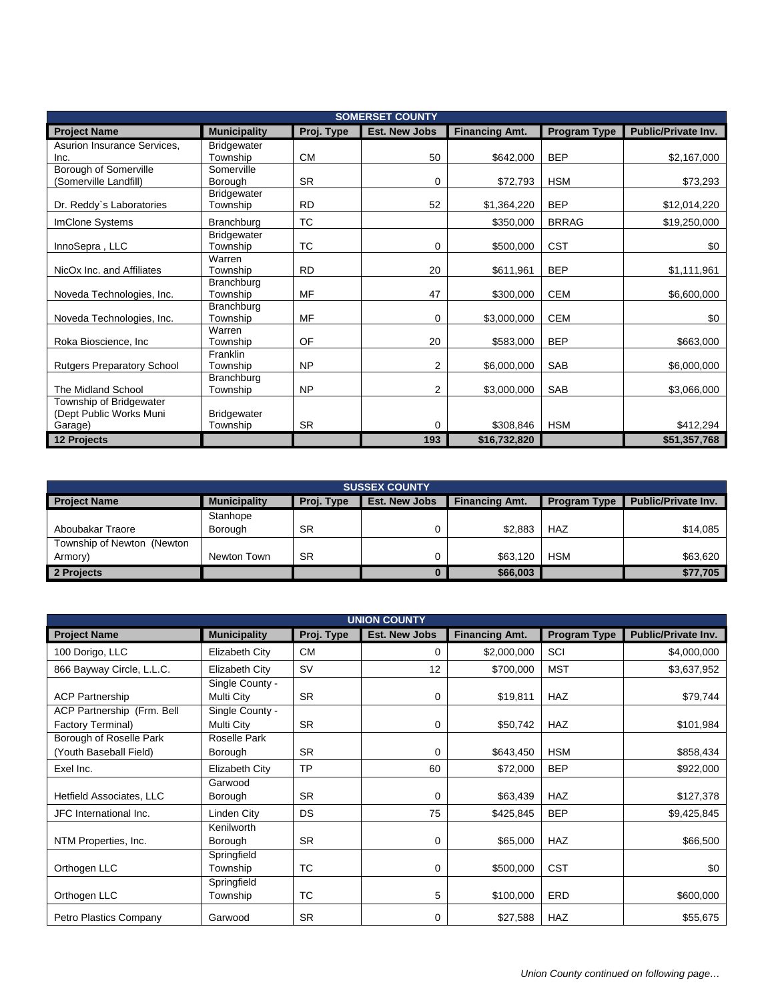| <b>SOMERSET COUNTY</b>            |                     |            |                      |                       |                     |                            |  |
|-----------------------------------|---------------------|------------|----------------------|-----------------------|---------------------|----------------------------|--|
| <b>Project Name</b>               | <b>Municipality</b> | Proj. Type | <b>Est. New Jobs</b> | <b>Financing Amt.</b> | <b>Program Type</b> | <b>Public/Private Inv.</b> |  |
| Asurion Insurance Services,       | <b>Bridgewater</b>  |            |                      |                       |                     |                            |  |
| Inc.                              | Township            | <b>CM</b>  | 50                   | \$642,000             | <b>BEP</b>          | \$2,167,000                |  |
| Borough of Somerville             | Somerville          |            |                      |                       |                     |                            |  |
| (Somerville Landfill)             | <b>Borough</b>      | <b>SR</b>  | 0                    | \$72,793              | <b>HSM</b>          | \$73,293                   |  |
|                                   | <b>Bridgewater</b>  |            |                      |                       |                     |                            |  |
| Dr. Reddy's Laboratories          | Township            | <b>RD</b>  | 52                   | \$1,364,220           | <b>BEP</b>          | \$12,014,220               |  |
| <b>ImClone Systems</b>            | Branchburg          | ТC         |                      | \$350,000             | <b>BRRAG</b>        | \$19,250,000               |  |
|                                   | <b>Bridgewater</b>  |            |                      |                       |                     |                            |  |
| InnoSepra, LLC                    | Township            | ТC         | 0                    | \$500,000             | <b>CST</b>          | \$0                        |  |
|                                   | Warren              |            |                      |                       |                     |                            |  |
| NicOx Inc. and Affiliates         | Township            | <b>RD</b>  | 20                   | \$611,961             | <b>BEP</b>          | \$1,111,961                |  |
|                                   | Branchburg          |            |                      |                       |                     |                            |  |
| Noveda Technologies, Inc.         | Township            | MF         | 47                   | \$300,000             | <b>CEM</b>          | \$6,600,000                |  |
|                                   | Branchburg          |            |                      |                       |                     |                            |  |
| Noveda Technologies, Inc.         | Township<br>Warren  | MF         | 0                    | \$3,000,000           | <b>CEM</b>          | \$0                        |  |
| Roka Bioscience, Inc.             | Township            | OF         | 20                   | \$583,000             | <b>BEP</b>          | \$663,000                  |  |
|                                   | Franklin            |            |                      |                       |                     |                            |  |
| <b>Rutgers Preparatory School</b> | Township            | <b>NP</b>  | $\overline{2}$       | \$6,000,000           | <b>SAB</b>          | \$6,000,000                |  |
|                                   | Branchburg          |            |                      |                       |                     |                            |  |
| The Midland School                | Township            | <b>NP</b>  | $\overline{2}$       | \$3,000,000           | SAB                 | \$3,066,000                |  |
| Township of Bridgewater           |                     |            |                      |                       |                     |                            |  |
| (Dept Public Works Muni           | <b>Bridgewater</b>  |            |                      |                       |                     |                            |  |
| Garage)                           | Township            | <b>SR</b>  | 0                    | \$308,846             | <b>HSM</b>          | \$412,294                  |  |
| 12 Projects                       |                     |            | 193                  | \$16,732,820          |                     | \$51,357,768               |  |

| <b>SUSSEX COUNTY</b>        |                     |            |                      |                       |                     |                            |  |  |
|-----------------------------|---------------------|------------|----------------------|-----------------------|---------------------|----------------------------|--|--|
| <b>Project Name</b>         | <b>Municipality</b> | Proj. Type | <b>Est. New Jobs</b> | <b>Financing Amt.</b> | <b>Program Type</b> | <b>Public/Private Inv.</b> |  |  |
|                             | Stanhope            |            |                      |                       |                     |                            |  |  |
| Aboubakar Traore            | Borough             | <b>SR</b>  |                      | \$2.883               | <b>HAZ</b>          | \$14,085                   |  |  |
| Township of Newton (Newton) |                     |            |                      |                       |                     |                            |  |  |
| Armory)                     | Newton Town         | <b>SR</b>  |                      | \$63,120              | <b>HSM</b>          | \$63,620                   |  |  |
| 2 Projects                  |                     |            |                      | \$66,003              |                     | \$77,705                   |  |  |

| <b>UNION COUNTY</b>                               |                               |            |                      |                       |                     |                     |  |  |
|---------------------------------------------------|-------------------------------|------------|----------------------|-----------------------|---------------------|---------------------|--|--|
| <b>Project Name</b>                               | <b>Municipality</b>           | Proj. Type | <b>Est. New Jobs</b> | <b>Financing Amt.</b> | <b>Program Type</b> | Public/Private Inv. |  |  |
| 100 Dorigo, LLC                                   | Elizabeth City                | <b>CM</b>  | 0                    | \$2,000,000           | SCI                 | \$4,000,000         |  |  |
| 866 Bayway Circle, L.L.C.                         | Elizabeth City                | <b>SV</b>  | 12                   | \$700,000             | <b>MST</b>          | \$3,637,952         |  |  |
| <b>ACP Partnership</b>                            | Single County -<br>Multi City | <b>SR</b>  | 0                    | \$19,811              | <b>HAZ</b>          | \$79,744            |  |  |
| ACP Partnership (Frm. Bell<br>Factory Terminal)   | Single County -<br>Multi City | <b>SR</b>  | 0                    | \$50,742              | <b>HAZ</b>          | \$101,984           |  |  |
| Borough of Roselle Park<br>(Youth Baseball Field) | Roselle Park<br>Borough       | <b>SR</b>  | 0                    | \$643,450             | <b>HSM</b>          | \$858,434           |  |  |
| Exel Inc.                                         | Elizabeth City                | <b>TP</b>  | 60                   | \$72,000              | <b>BEP</b>          | \$922,000           |  |  |
| Hetfield Associates, LLC                          | Garwood<br>Borough            | <b>SR</b>  | 0                    | \$63,439              | <b>HAZ</b>          | \$127,378           |  |  |
| JFC International Inc.                            | Linden City                   | DS         | 75                   | \$425,845             | <b>BEP</b>          | \$9,425,845         |  |  |
| NTM Properties, Inc.                              | Kenilworth<br>Borough         | <b>SR</b>  | 0                    | \$65,000              | <b>HAZ</b>          | \$66,500            |  |  |
| Orthogen LLC                                      | Springfield<br>Township       | TC         | 0                    | \$500,000             | <b>CST</b>          | \$0                 |  |  |
| Orthogen LLC                                      | Springfield<br>Township       | ТC         | 5                    | \$100,000             | <b>ERD</b>          | \$600,000           |  |  |
| Petro Plastics Company                            | Garwood                       | <b>SR</b>  | 0                    | \$27,588              | <b>HAZ</b>          | \$55,675            |  |  |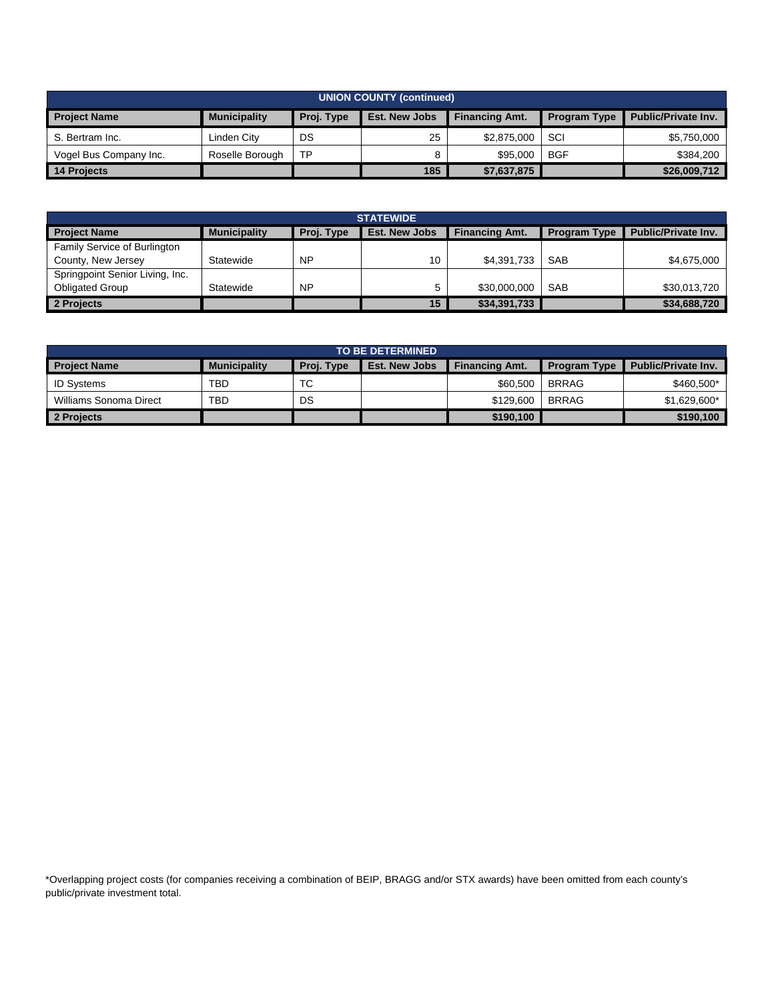| <b>UNION COUNTY (continued)</b> |                     |            |                      |                       |                     |                            |  |
|---------------------------------|---------------------|------------|----------------------|-----------------------|---------------------|----------------------------|--|
| <b>Project Name</b>             | <b>Municipality</b> | Proj. Type | <b>Est. New Jobs</b> | <b>Financing Amt.</b> | <b>Program Type</b> | <b>Public/Private Inv.</b> |  |
| S. Bertram Inc.                 | Linden City         | DS         | 25                   | \$2.875,000           | SCI                 | \$5,750,000                |  |
| Vogel Bus Company Inc.          | Roselle Borough     | TP         |                      | \$95,000              | <b>BGF</b>          | \$384,200                  |  |
| 14 Projects                     |                     |            | 185                  | \$7,637,875           |                     | \$26,009,712               |  |

| <b>STATEWIDE</b>                                         |           |                                               |    |                     |                            |              |  |
|----------------------------------------------------------|-----------|-----------------------------------------------|----|---------------------|----------------------------|--------------|--|
| Proj. Type<br><b>Municipality</b><br><b>Project Name</b> |           | <b>Est. New Jobs</b><br><b>Financing Amt.</b> |    | <b>Program Type</b> | <b>Public/Private Inv.</b> |              |  |
| <b>Family Service of Burlington</b>                      |           |                                               |    |                     |                            |              |  |
| County, New Jersey                                       | Statewide | <b>NP</b>                                     | 10 | \$4,391,733         | <b>SAB</b>                 | \$4,675,000  |  |
| Springpoint Senior Living, Inc.                          |           |                                               |    |                     |                            |              |  |
| <b>Obligated Group</b>                                   | Statewide | <b>NP</b>                                     |    | \$30,000,000        | <b>SAB</b>                 | \$30,013,720 |  |
| 2 Projects                                               |           |                                               | 15 | \$34,391,733        |                            | \$34,688,720 |  |

| <b>TO BE DETERMINED</b> |                     |            |                      |                       |                     |                            |
|-------------------------|---------------------|------------|----------------------|-----------------------|---------------------|----------------------------|
| <b>Project Name</b>     | <b>Municipality</b> | Proj. Type | <b>Est. New Jobs</b> | <b>Financing Amt.</b> | <b>Program Type</b> | <b>Public/Private Inv.</b> |
| <b>ID Systems</b>       | TBD                 | ТC         |                      | \$60,500              | <b>BRRAG</b>        | \$460,500*                 |
| Williams Sonoma Direct  | <b>TBD</b>          | DS         |                      | \$129,600             | <b>BRRAG</b>        | \$1,629,600*               |
| 2 Projects              |                     |            |                      | \$190.100             |                     | \$190.100                  |

\*Overlapping project costs (for companies receiving a combination of BEIP, BRAGG and/or STX awards) have been omitted from each county's public/private investment total.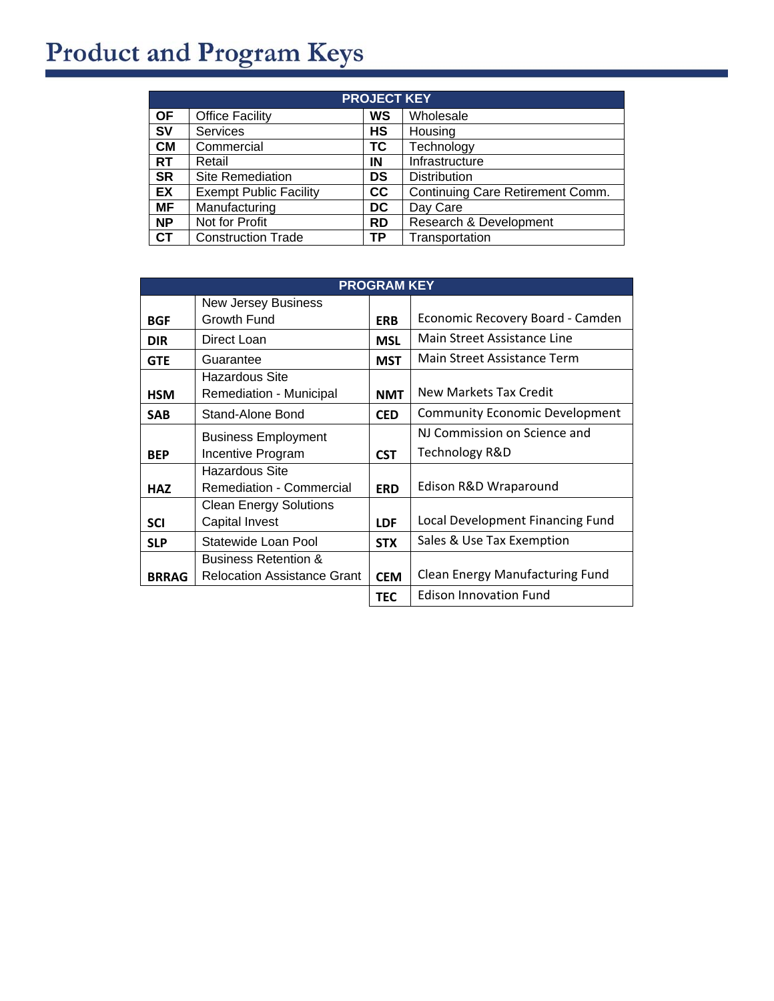## **Product and Program Keys**

| <b>PROJECT KEY</b> |                               |           |                                  |  |
|--------------------|-------------------------------|-----------|----------------------------------|--|
| <b>OF</b>          | <b>Office Facility</b>        | WS        | Wholesale                        |  |
| <b>SV</b>          | <b>Services</b>               | НS        | Housing                          |  |
| <b>CM</b>          | Commercial                    | ТC        | Technology                       |  |
| <b>RT</b>          | Retail                        | ΙN        | Infrastructure                   |  |
| <b>SR</b>          | Site Remediation              | DS        | <b>Distribution</b>              |  |
| <b>EX</b>          | <b>Exempt Public Facility</b> | <b>CC</b> | Continuing Care Retirement Comm. |  |
| <b>MF</b>          | Manufacturing                 | DC        | Day Care                         |  |
| <b>NP</b>          | Not for Profit                | <b>RD</b> | Research & Development           |  |
| СT                 | <b>Construction Trade</b>     | <b>TP</b> | Transportation                   |  |

| <b>PROGRAM KEY</b> |                                    |            |                                       |  |
|--------------------|------------------------------------|------------|---------------------------------------|--|
|                    | <b>New Jersey Business</b>         |            |                                       |  |
| <b>BGF</b>         | Growth Fund                        | <b>ERB</b> | Economic Recovery Board - Camden      |  |
| <b>DIR</b>         | Direct Loan                        | <b>MSL</b> | Main Street Assistance Line           |  |
| <b>GTE</b>         | Guarantee                          | <b>MST</b> | Main Street Assistance Term           |  |
|                    | Hazardous Site                     |            |                                       |  |
| <b>HSM</b>         | Remediation - Municipal            | <b>NMT</b> | New Markets Tax Credit                |  |
| <b>SAB</b>         | Stand-Alone Bond                   | <b>CED</b> | <b>Community Economic Development</b> |  |
|                    | <b>Business Employment</b>         |            | NJ Commission on Science and          |  |
| <b>BEP</b>         | Incentive Program                  | <b>CST</b> | Technology R&D                        |  |
|                    | Hazardous Site                     |            |                                       |  |
| <b>HAZ</b>         | Remediation - Commercial           | <b>ERD</b> | Edison R&D Wraparound                 |  |
|                    | <b>Clean Energy Solutions</b>      |            |                                       |  |
| <b>SCI</b>         | <b>Capital Invest</b>              | <b>LDF</b> | Local Development Financing Fund      |  |
| <b>SLP</b>         | Statewide Loan Pool                | <b>STX</b> | Sales & Use Tax Exemption             |  |
|                    | <b>Business Retention &amp;</b>    |            |                                       |  |
| <b>BRRAG</b>       | <b>Relocation Assistance Grant</b> | <b>CEM</b> | Clean Energy Manufacturing Fund       |  |
|                    |                                    | <b>TEC</b> | <b>Edison Innovation Fund</b>         |  |